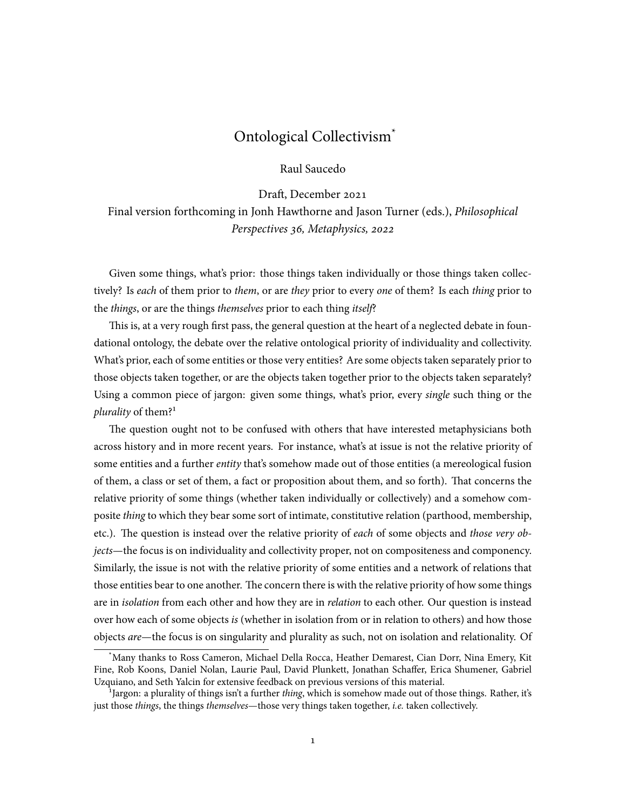# Ontological Collectivism\*

Raul Saucedo

Draft, December 2021 Final version forthcoming in Jonh Hawthorne and Jason Turner (eds.), *Philosophical Perspectives 36, Metaphysics, 2022*

Given some things, what's prior: those things taken individually or those things taken collectively? Is *each* of them prior to *them*, or are *they* prior to every *one* of them? Is each *thing* prior to the *things*, or are the things *themselves* prior to each thing *itself*?

This is, at a very rough first pass, the general question at the heart of a neglected debate in foundational ontology, the debate over the relative ontological priority of individuality and collectivity. What's prior, each of some entities or those very entities? Are some objects taken separately prior to those objects taken together, or are the objects taken together prior to the objects taken separately? Using a common piece of jargon: given some things, what's prior, every *single* such thing or the *plurality* of them?<sup>1</sup>

The question ought not to be confused with others that have interested metaphysicians both across history and in more recent years. For instance, what's at issue is not the relative priority of some entities and a further *entity* that's somehow made out of those entities (a mereological fusion of them, a class or set of them, a fact or proposition about them, and so forth). That concerns the relative priority of some things (whether taken individually or collectively) and a somehow composite *thing* to which they bear some sort of intimate, constitutive relation (parthood, membership, etc.). The question is instead over the relative priority of *each* of some objects and *those very objects*—the focus is on individuality and collectivity proper, not on compositeness and componency. Similarly, the issue is not with the relative priority of some entities and a network of relations that those entities bear to one another. The concern there is with the relative priority of how some things are in *isolation* from each other and how they are in *relation* to each other. Our question is instead over how each of some objects *is* (whether in isolation from or in relation to others) and how those objects *are*—the focus is on singularity and plurality as such, not on isolation and relationality. Of

<sup>\*</sup>Many thanks to Ross Cameron, Michael Della Rocca, Heather Demarest, Cian Dorr, Nina Emery, Kit Fine, Rob Koons, Daniel Nolan, Laurie Paul, David Plunkett, Jonathan Schaffer, Erica Shumener, Gabriel Uzquiano, and Seth Yalcin for extensive feedback on previous versions of this material.

<sup>&</sup>lt;sup>1</sup>Jargon: a plurality of things isn't a further *thing*, which is somehow made out of those things. Rather, it's just those *things*, the things *themselves*—those very things taken together, *i.e.* taken collectively.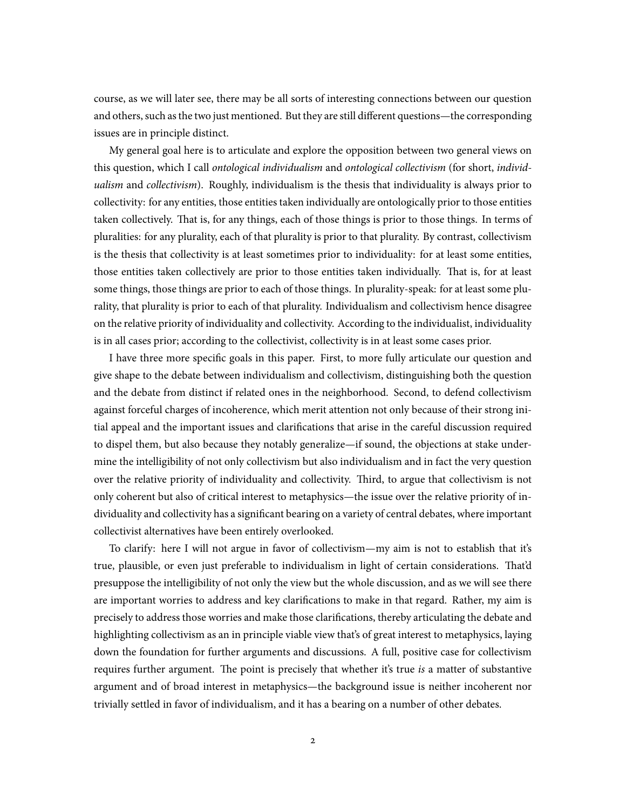course, as we will later see, there may be all sorts of interesting connections between our question and others, such as the two just mentioned. But they are still different questions—the corresponding issues are in principle distinct.

My general goal here is to articulate and explore the opposition between two general views on this question, which I call *ontological individualism* and *ontological collectivism* (for short, *individualism* and *collectivism*). Roughly, individualism is the thesis that individuality is always prior to collectivity: for any entities, those entities taken individually are ontologically prior to those entities taken collectively. That is, for any things, each of those things is prior to those things. In terms of pluralities: for any plurality, each of that plurality is prior to that plurality. By contrast, collectivism is the thesis that collectivity is at least sometimes prior to individuality: for at least some entities, those entities taken collectively are prior to those entities taken individually. That is, for at least some things, those things are prior to each of those things. In plurality-speak: for at least some plurality, that plurality is prior to each of that plurality. Individualism and collectivism hence disagree on the relative priority of individuality and collectivity. According to the individualist, individuality is in all cases prior; according to the collectivist, collectivity is in at least some cases prior.

I have three more specific goals in this paper. First, to more fully articulate our question and give shape to the debate between individualism and collectivism, distinguishing both the question and the debate from distinct if related ones in the neighborhood. Second, to defend collectivism against forceful charges of incoherence, which merit attention not only because of their strong initial appeal and the important issues and clarifications that arise in the careful discussion required to dispel them, but also because they notably generalize—if sound, the objections at stake undermine the intelligibility of not only collectivism but also individualism and in fact the very question over the relative priority of individuality and collectivity. Third, to argue that collectivism is not only coherent but also of critical interest to metaphysics—the issue over the relative priority of individuality and collectivity has a significant bearing on a variety of central debates, where important collectivist alternatives have been entirely overlooked.

To clarify: here I will not argue in favor of collectivism—my aim is not to establish that it's true, plausible, or even just preferable to individualism in light of certain considerations. That'd presuppose the intelligibility of not only the view but the whole discussion, and as we will see there are important worries to address and key clarifications to make in that regard. Rather, my aim is precisely to address those worries and make those clarifications, thereby articulating the debate and highlighting collectivism as an in principle viable view that's of great interest to metaphysics, laying down the foundation for further arguments and discussions. A full, positive case for collectivism requires further argument. The point is precisely that whether it's true *is* a matter of substantive argument and of broad interest in metaphysics—the background issue is neither incoherent nor trivially settled in favor of individualism, and it has a bearing on a number of other debates.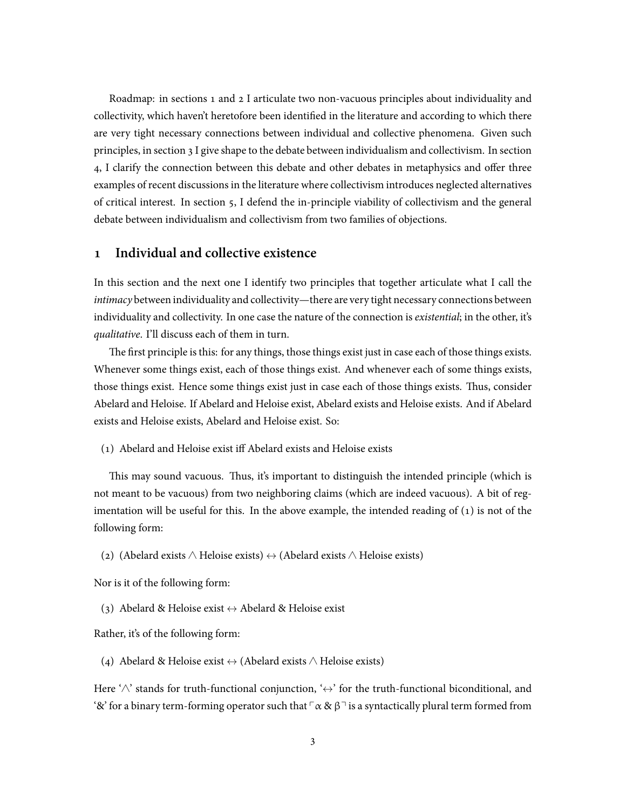Roadmap: in sections 1 and 2 I articulate two non-vacuous principles about individuality and collectivity, which haven't heretofore been identified in the literature and according to which there are very tight necessary connections between individual and collective phenomena. Given such principles, in section 3 I give shape to the debate between individualism and collectivism. In section 4, I clarify the connection between this debate and other debates in metaphysics and offer three examples of recent discussions in the literature where collectivism introduces neglected alternatives of critical interest. In section 5, I defend the in-principle viability of collectivism and the general debate between individualism and collectivism from two families of objections.

# **1 Individual and collective existence**

In this section and the next one I identify two principles that together articulate what I call the *intimacy* between individuality and collectivity—there are very tight necessary connections between individuality and collectivity. In one case the nature of the connection is *existential*; in the other, it's *qualitative*. I'll discuss each of them in turn.

The first principle is this: for any things, those things exist just in case each of those things exists. Whenever some things exist, each of those things exist. And whenever each of some things exists, those things exist. Hence some things exist just in case each of those things exists. Thus, consider Abelard and Heloise. If Abelard and Heloise exist, Abelard exists and Heloise exists. And if Abelard exists and Heloise exists, Abelard and Heloise exist. So:

(1) Abelard and Heloise exist iff Abelard exists and Heloise exists

This may sound vacuous. Thus, it's important to distinguish the intended principle (which is not meant to be vacuous) from two neighboring claims (which are indeed vacuous). A bit of regimentation will be useful for this. In the above example, the intended reading of  $(1)$  is not of the following form:

(2) (Abelard exists ∧ Heloise exists) *↔* (Abelard exists ∧ Heloise exists)

Nor is it of the following form:

(3) Abelard & Heloise exist *↔* Abelard & Heloise exist

Rather, it's of the following form:

(4) Abelard & Heloise exist *↔* (Abelard exists ∧ Heloise exists)

Here '∧' stands for truth-functional conjunction, '*↔*' for the truth-functional biconditional, and '&' for a binary term-forming operator such that  $\lceil \alpha \otimes \beta \rceil$  is a syntactically plural term formed from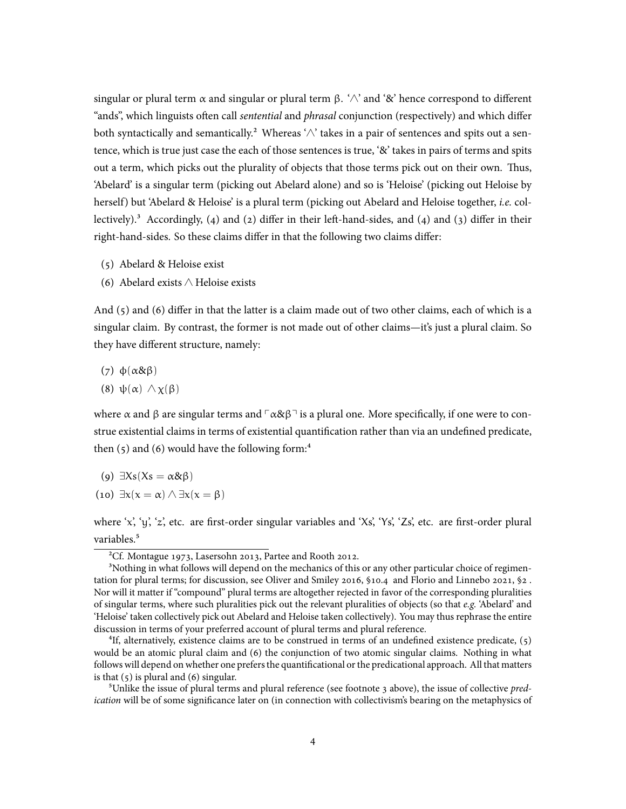singular or plural term  $\alpha$  and singular or plural term  $\beta$ . ' $\land$ ' and '&' hence correspond to different "ands", which linguists often call *sentential* and *phrasal* conjunction (respectively) and which differ both syntactically and semantically.<sup>2</sup> Whereas ' $\wedge$ ' takes in a pair of sentences and spits out a sentence, which is true just case the each of those sentences is true, '&' takes in pairs of terms and spits out a term, which picks out the plurality of objects that those terms pick out on their own. Thus, 'Abelard' is a singular term (picking out Abelard alone) and so is 'Heloise' (picking out Heloise by herself) but 'Abelard & Heloise' is a plural term (picking out Abelard and Heloise together, *i.e.* collectively).<sup>3</sup> Accordingly, (4) and (2) differ in their left-hand-sides, and (4) and (3) differ in their right-hand-sides. So these claims differ in that the following two claims differ:

- (5) Abelard & Heloise exist
- (6) Abelard exists ∧ Heloise exists

And (5) and (6) differ in that the latter is a claim made out of two other claims, each of which is a singular claim. By contrast, the former is not made out of other claims—it's just a plural claim. So they have different structure, namely:

- (7) ϕ(α&β)
- (8) ψ(α) ∧ χ(β)

where  $\alpha$  and  $\beta$  are singular terms and  $\lceil \alpha \& \beta \rceil$  is a plural one. More specifically, if one were to construe existential claims in terms of existential quantification rather than via an undefined predicate, then  $(5)$  and  $(6)$  would have the following form:<sup>4</sup>

- (9)  $\exists Xs(Xs = \alpha \& \beta)$
- (10) *∃*x(x = α) ∧ *∃*x(x = β)

where 'x', 'y', 'z', etc. are first-order singular variables and 'Xs', 'Ys', 'Zs', etc. are first-order plural variables.<sup>5</sup>

²Cf. Montague 1973, Lasersohn 2013, Partee and Rooth 2012.

<sup>&</sup>lt;sup>3</sup>Nothing in what follows will depend on the mechanics of this or any other particular choice of regimentation for plural terms; for discussion, see Oliver and Smiley 2016, §10.4 and Florio and Linnebo 2021, §2 . Nor will it matter if "compound" plural terms are altogether rejected in favor of the corresponding pluralities of singular terms, where such pluralities pick out the relevant pluralities of objects (so that *e.g.* 'Abelard' and 'Heloise' taken collectively pick out Abelard and Heloise taken collectively). You may thus rephrase the entire discussion in terms of your preferred account of plural terms and plural reference.

<sup>&</sup>lt;sup>4</sup>If, alternatively, existence claims are to be construed in terms of an undefined existence predicate, (5) would be an atomic plural claim and (6) the conjunction of two atomic singular claims. Nothing in what follows will depend on whether one prefers the quantificational or the predicational approach. All that matters is that  $(5)$  is plural and  $(6)$  singular.

⁵Unlike the issue of plural terms and plural reference (see footnote 3 above), the issue of collective *predication* will be of some significance later on (in connection with collectivism's bearing on the metaphysics of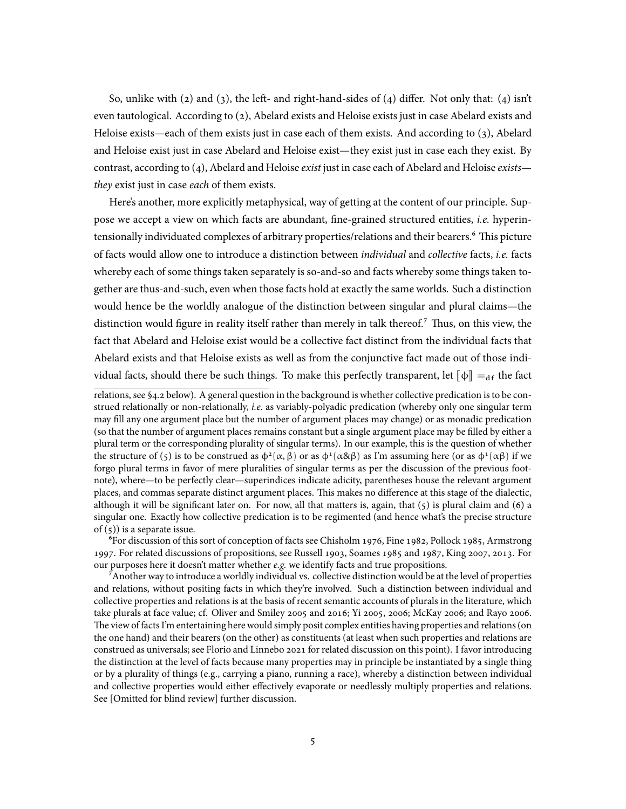So, unlike with (2) and (3), the left- and right-hand-sides of (4) differ. Not only that: (4) isn't even tautological. According to (2), Abelard exists and Heloise exists just in case Abelard exists and Heloise exists—each of them exists just in case each of them exists. And according to (3), Abelard and Heloise exist just in case Abelard and Heloise exist—they exist just in case each they exist. By contrast, according to (4), Abelard and Heloise *exist* just in case each of Abelard and Heloise *exists they* exist just in case *each* of them exists.

Here's another, more explicitly metaphysical, way of getting at the content of our principle. Suppose we accept a view on which facts are abundant, fine-grained structured entities, *i.e.* hyperintensionally individuated complexes of arbitrary properties/relations and their bearers.<sup>6</sup> This picture of facts would allow one to introduce a distinction between *individual* and *collective* facts, *i.e.* facts whereby each of some things taken separately is so-and-so and facts whereby some things taken together are thus-and-such, even when those facts hold at exactly the same worlds. Such a distinction would hence be the worldly analogue of the distinction between singular and plural claims—the distinction would figure in reality itself rather than merely in talk thereof.<sup>7</sup> Thus, on this view, the fact that Abelard and Heloise exist would be a collective fact distinct from the individual facts that Abelard exists and that Heloise exists as well as from the conjunctive fact made out of those individual facts, should there be such things. To make this perfectly transparent, let  $\llbracket \Phi \rrbracket =_{df}$  the fact

⁶For discussion of this sort of conception of facts see Chisholm 1976, Fine 1982, Pollock 1985, Armstrong 1997. For related discussions of propositions, see Russell 1903, Soames 1985 and 1987, King 2007, 2013. For our purposes here it doesn't matter whether *e.g.* we identify facts and true propositions.

⁷Another way to introduce a worldly individual vs. collective distinction would be at the level of properties and relations, without positing facts in which they're involved. Such a distinction between individual and collective properties and relations is at the basis of recent semantic accounts of plurals in the literature, which take plurals at face value; cf. Oliver and Smiley 2005 and 2016; Yi 2005, 2006; McKay 2006; and Rayo 2006. The view of facts I'm entertaining here would simply posit complex entities having properties and relations (on the one hand) and their bearers (on the other) as constituents (at least when such properties and relations are construed as universals; see Florio and Linnebo 2021 for related discussion on this point). I favor introducing the distinction at the level of facts because many properties may in principle be instantiated by a single thing or by a plurality of things (e.g., carrying a piano, running a race), whereby a distinction between individual and collective properties would either effectively evaporate or needlessly multiply properties and relations. See [Omitted for blind review] further discussion.

relations, see §4.2 below). A general question in the background is whether collective predication is to be construed relationally or non-relationally, *i.e.* as variably-polyadic predication (whereby only one singular term may fill any one argument place but the number of argument places may change) or as monadic predication (so that the number of argument places remains constant but a single argument place may be filled by either a plural term or the corresponding plurality of singular terms). In our example, this is the question of whether the structure of (5) is to be construed as  $\phi^2(\alpha, \beta)$  or as  $\phi^1(\alpha \& \beta)$  as I'm assuming here (or as  $\phi^1(\alpha \beta)$  if we forgo plural terms in favor of mere pluralities of singular terms as per the discussion of the previous footnote), where—to be perfectly clear—superindices indicate adicity, parentheses house the relevant argument places, and commas separate distinct argument places. This makes no difference at this stage of the dialectic, although it will be significant later on. For now, all that matters is, again, that (5) is plural claim and (6) a singular one. Exactly how collective predication is to be regimented (and hence what's the precise structure of  $(5)$ ) is a separate issue.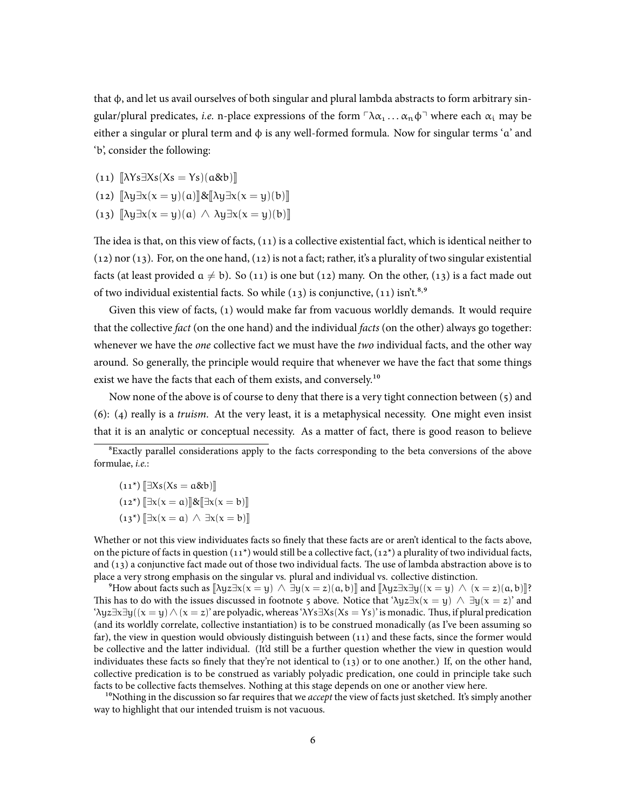that φ, and let us avail ourselves of both singular and plural lambda abstracts to form arbitrary singular/plural predicates, *i.e.* n-place expressions of the form  $\lceil \lambda \alpha_1 \dots \alpha_n \phi \rceil$  where each  $\alpha_i$  may be either a singular or plural term and  $\phi$  is any well-formed formula. Now for singular terms 'a' and 'b', consider the following:

 $(11)$   $\left[\lambda Ys\exists Xs(Xs=Ys)(a\&b)\right]$ 

- $(12)$   $\[\lambda y \exists x (x = y)(a)\]\&\[\lambda y \exists x (x = y)(b)\]$
- (13)  $\|\lambda y\exists x(x=y)(a) \wedge \lambda y\exists x(x=y)(b)\|$

The idea is that, on this view of facts, (11) is a collective existential fact, which is identical neither to  $(12)$  nor  $(13)$ . For, on the one hand,  $(12)$  is not a fact; rather, it's a plurality of two singular existential facts (at least provided  $a \neq b$ ). So (11) is one but (12) many. On the other, (13) is a fact made out of two individual existential facts. So while (13) is conjunctive, (11) isn't.<sup>8,9</sup>

Given this view of facts, (1) would make far from vacuous worldly demands. It would require that the collective *fact* (on the one hand) and the individual *facts* (on the other) always go together: whenever we have the *one* collective fact we must have the *two* individual facts, and the other way around. So generally, the principle would require that whenever we have the fact that some things exist we have the facts that each of them exists, and conversely.<sup>10</sup>

Now none of the above is of course to deny that there is a very tight connection between (5) and (6): (4) really is a *truism*. At the very least, it is a metaphysical necessity. One might even insist that it is an analytic or conceptual necessity. As a matter of fact, there is good reason to believe

- $(11^*)$   $\exists Xs(Xs = a\&b)$  $(12^*)$   $\exists x(x = a)$  $\&\exists x(x = b)$
- $(13^*)$   $\exists x(x = a) \land \exists x(x = b)$

Whether or not this view individuates facts so finely that these facts are or aren't identical to the facts above, on the picture of facts in question  $(11^*)$  would still be a collective fact,  $(12^*)$  a plurality of two individual facts, and (13) a conjunctive fact made out of those two individual facts. The use of lambda abstraction above is to place a very strong emphasis on the singular vs. plural and individual vs. collective distinction.

 $^9$ How about facts such as  $[\lambda yz\exists x(x = y) \land \exists y(x = z)(a, b)]$  and  $[\lambda yz\exists x\exists y((x = y) \land (x = z)(a, b)]$ ? This has to do with the issues discussed in footnote 5 above. Notice that ' $\lambda yz\exists x(x = y) \wedge \exists y(x = z)$ ' and 'λyz*∃*x*∃*y((x = y) ∧ (x = z)' are polyadic, whereas 'λYs*∃*Xs(Xs = Ys)' is monadic. Thus, if plural predication (and its worldly correlate, collective instantiation) is to be construed monadically (as I've been assuming so far), the view in question would obviously distinguish between (11) and these facts, since the former would be collective and the latter individual. (It'd still be a further question whether the view in question would individuates these facts so finely that they're not identical to (13) or to one another.) If, on the other hand, collective predication is to be construed as variably polyadic predication, one could in principle take such facts to be collective facts themselves. Nothing at this stage depends on one or another view here.

<sup>10</sup>Nothing in the discussion so far requires that we *accept* the view of facts just sketched. It's simply another way to highlight that our intended truism is not vacuous.

<sup>&</sup>lt;sup>8</sup>Exactly parallel considerations apply to the facts corresponding to the beta conversions of the above formulae, *i.e.*: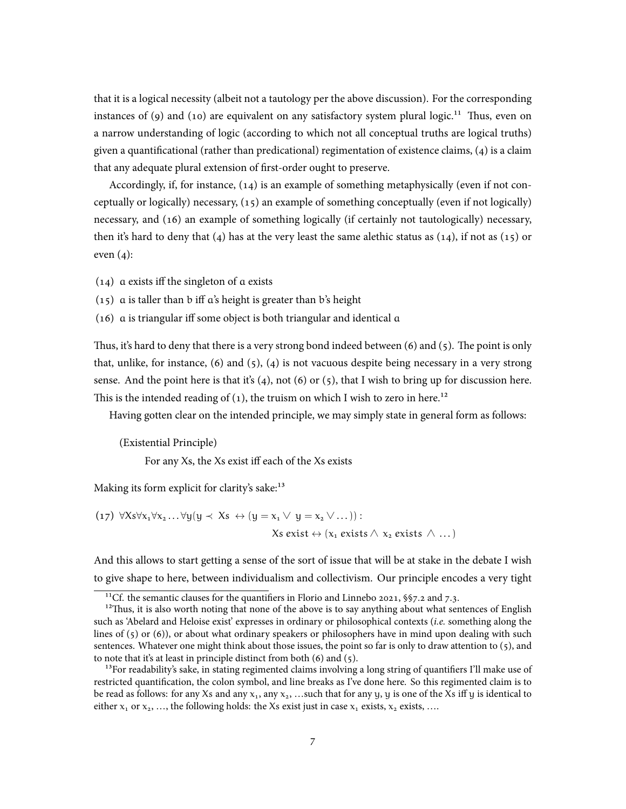that it is a logical necessity (albeit not a tautology per the above discussion). For the corresponding instances of (9) and (10) are equivalent on any satisfactory system plural logic.<sup>11</sup> Thus, even on a narrow understanding of logic (according to which not all conceptual truths are logical truths) given a quantificational (rather than predicational) regimentation of existence claims, (4) is a claim that any adequate plural extension of first-order ought to preserve.

Accordingly, if, for instance, (14) is an example of something metaphysically (even if not conceptually or logically) necessary, (15) an example of something conceptually (even if not logically) necessary, and (16) an example of something logically (if certainly not tautologically) necessary, then it's hard to deny that (4) has at the very least the same alethic status as  $(14)$ , if not as  $(15)$  or even  $(4)$ :

(14) a exists iff the singleton of a exists

 $(15)$  a is taller than b iff a's height is greater than b's height

(16) a is triangular iff some object is both triangular and identical a

Thus, it's hard to deny that there is a very strong bond indeed between  $(6)$  and  $(5)$ . The point is only that, unlike, for instance,  $(6)$  and  $(5)$ ,  $(4)$  is not vacuous despite being necessary in a very strong sense. And the point here is that it's  $(4)$ , not  $(6)$  or  $(5)$ , that I wish to bring up for discussion here. This is the intended reading of  $(1)$ , the truism on which I wish to zero in here.<sup>12</sup>

Having gotten clear on the intended principle, we may simply state in general form as follows:

(Existential Principle)

For any Xs, the Xs exist iff each of the Xs exists

Making its form explicit for clarity's sake:<sup>13</sup>

$$
(17) \ \forall Xs\forall x_1\forall x_2...\forall y(y\prec Xs \leftrightarrow (y = x_1 \lor y = x_2 \lor ...)):
$$
  

$$
Xs exist \leftrightarrow (x_1 exists \land x_2 exists \land ...)
$$

And this allows to start getting a sense of the sort of issue that will be at stake in the debate I wish to give shape to here, between individualism and collectivism. Our principle encodes a very tight

<sup>&</sup>lt;sup>11</sup>Cf. the semantic clauses for the quantifiers in Florio and Linnebo 2021,  $\S$ 57.2 and 7.3.

 $12$ Thus, it is also worth noting that none of the above is to say anything about what sentences of English such as 'Abelard and Heloise exist' expresses in ordinary or philosophical contexts (*i.e.* something along the lines of (5) or (6)), or about what ordinary speakers or philosophers have in mind upon dealing with such sentences. Whatever one might think about those issues, the point so far is only to draw attention to (5), and to note that it's at least in principle distinct from both  $(6)$  and  $(5)$ .

 $13$ For readability's sake, in stating regimented claims involving a long string of quantifiers I'll make use of restricted quantification, the colon symbol, and line breaks as I've done here. So this regimented claim is to be read as follows: for any Xs and any  $x_1$ , any  $x_2$ , …such that for any y, y is one of the Xs iff y is identical to either  $x_1$  or  $x_2$ , …, the following holds: the Xs exist just in case  $x_1$  exists,  $x_2$  exists, ….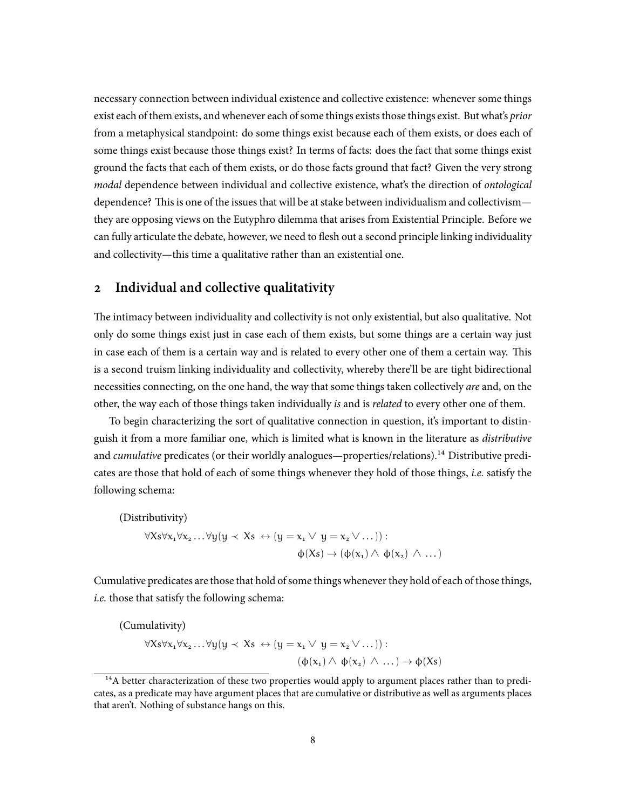necessary connection between individual existence and collective existence: whenever some things exist each of them exists, and whenever each of some things exists those things exist. But what's *prior* from a metaphysical standpoint: do some things exist because each of them exists, or does each of some things exist because those things exist? In terms of facts: does the fact that some things exist ground the facts that each of them exists, or do those facts ground that fact? Given the very strong *modal* dependence between individual and collective existence, what's the direction of *ontological* dependence? This is one of the issues that will be at stake between individualism and collectivism they are opposing views on the Eutyphro dilemma that arises from Existential Principle. Before we can fully articulate the debate, however, we need to flesh out a second principle linking individuality and collectivity—this time a qualitative rather than an existential one.

# **2 Individual and collective qualitativity**

The intimacy between individuality and collectivity is not only existential, but also qualitative. Not only do some things exist just in case each of them exists, but some things are a certain way just in case each of them is a certain way and is related to every other one of them a certain way. This is a second truism linking individuality and collectivity, whereby there'll be are tight bidirectional necessities connecting, on the one hand, the way that some things taken collectively *are* and, on the other, the way each of those things taken individually *is* and is *related* to every other one of them.

To begin characterizing the sort of qualitative connection in question, it's important to distinguish it from a more familiar one, which is limited what is known in the literature as *distributive* and *cumulative* predicates (or their worldly analogues—properties/relations).<sup>14</sup> Distributive predicates are those that hold of each of some things whenever they hold of those things, *i.e.* satisfy the following schema:

(Distributivity)  $\forall X_s \forall x_1 \forall x_2 \ldots \forall y (y \prec Xs \leftrightarrow (y = x_1 \lor y = x_2 \lor \ldots))$ :  $\phi(Xs) \rightarrow (\phi(x_1) \land \phi(x_2) \land ...)$ 

Cumulative predicates are those that hold of some things whenever they hold of each of those things, *i.e.* those that satisfy the following schema:

(Cumulativity) *∀*Xs*∀*x1*∀*x<sup>2</sup> . . . *∀*y(y *≺* Xs *↔* (y = x<sup>1</sup> ∨ y = x<sup>2</sup> ∨ . . .)) :  $(\phi(x_1) \land \phi(x_2) \land ...) \rightarrow \phi(Xs)$ 

<sup>&</sup>lt;sup>14</sup>A better characterization of these two properties would apply to argument places rather than to predicates, as a predicate may have argument places that are cumulative or distributive as well as arguments places that aren't. Nothing of substance hangs on this.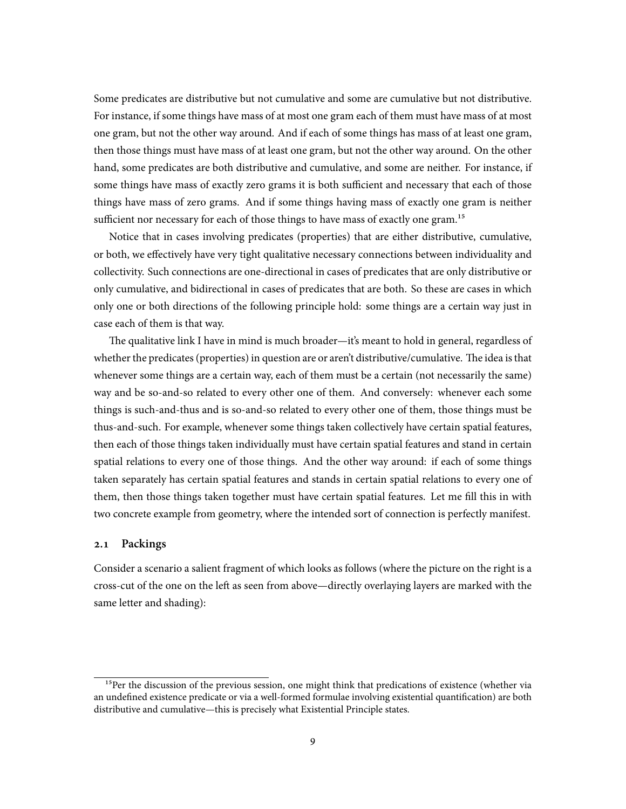Some predicates are distributive but not cumulative and some are cumulative but not distributive. For instance, if some things have mass of at most one gram each of them must have mass of at most one gram, but not the other way around. And if each of some things has mass of at least one gram, then those things must have mass of at least one gram, but not the other way around. On the other hand, some predicates are both distributive and cumulative, and some are neither. For instance, if some things have mass of exactly zero grams it is both sufficient and necessary that each of those things have mass of zero grams. And if some things having mass of exactly one gram is neither sufficient nor necessary for each of those things to have mass of exactly one gram.<sup>15</sup>

Notice that in cases involving predicates (properties) that are either distributive, cumulative, or both, we effectively have very tight qualitative necessary connections between individuality and collectivity. Such connections are one-directional in cases of predicates that are only distributive or only cumulative, and bidirectional in cases of predicates that are both. So these are cases in which only one or both directions of the following principle hold: some things are a certain way just in case each of them is that way.

The qualitative link I have in mind is much broader—it's meant to hold in general, regardless of whether the predicates (properties) in question are or aren't distributive/cumulative. The idea is that whenever some things are a certain way, each of them must be a certain (not necessarily the same) way and be so-and-so related to every other one of them. And conversely: whenever each some things is such-and-thus and is so-and-so related to every other one of them, those things must be thus-and-such. For example, whenever some things taken collectively have certain spatial features, then each of those things taken individually must have certain spatial features and stand in certain spatial relations to every one of those things. And the other way around: if each of some things taken separately has certain spatial features and stands in certain spatial relations to every one of them, then those things taken together must have certain spatial features. Let me fill this in with two concrete example from geometry, where the intended sort of connection is perfectly manifest.

### **2.1 Packings**

Consider a scenario a salient fragment of which looks as follows (where the picture on the right is a cross-cut of the one on the left as seen from above—directly overlaying layers are marked with the same letter and shading):

 $15$ Per the discussion of the previous session, one might think that predications of existence (whether via an undefined existence predicate or via a well-formed formulae involving existential quantification) are both distributive and cumulative—this is precisely what Existential Principle states.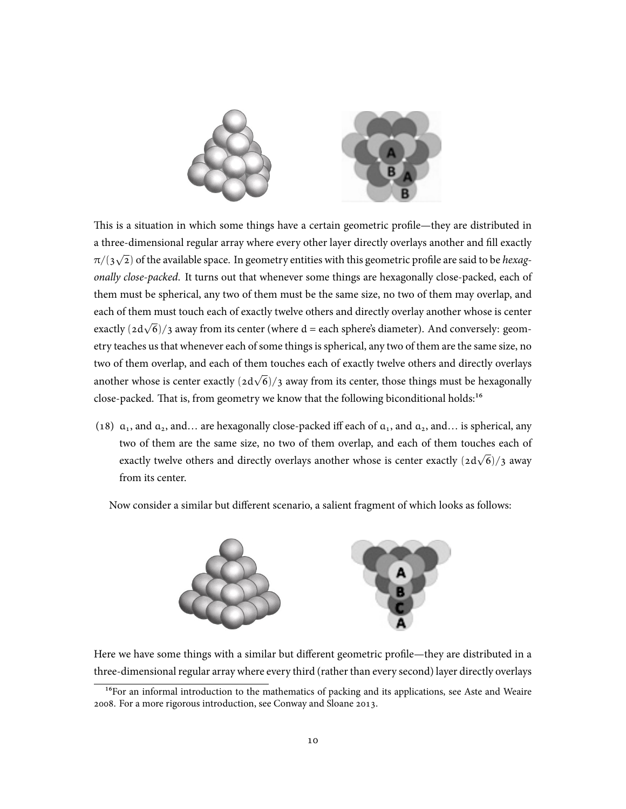

This is a situation in which some things have a certain geometric profile—they are distributed in a three-dimensional regular array where every other layer directly overlays another and fill exactly π/(3 *√* 2) of the available space. In geometry entities with this geometric profile are said to be *hexagonally close-packed*. It turns out that whenever some things are hexagonally close-packed, each of them must be spherical, any two of them must be the same size, no two of them may overlap, and each of them must touch each of exactly twelve others and directly overlay another whose is center exactly (2d√6)/3 away from its center (where d = each sphere's diameter). And conversely: geometry teaches us that whenever each of some things is spherical, any two of them are the same size, no two of them overlap, and each of them touches each of exactly twelve others and directly overlays another whose is center exactly (2d *√* 6)/3 away from its center, those things must be hexagonally close-packed. That is, from geometry we know that the following biconditional holds:<sup>16</sup>

(18)  $a_1$ , and  $a_2$ , and... are hexagonally close-packed iff each of  $a_1$ , and  $a_2$ , and... is spherical, any two of them are the same size, no two of them overlap, and each of them touches each of exactly twelve others and directly overlays another whose is center exactly (2d *√* 6)/3 away from its center.

Now consider a similar but different scenario, a salient fragment of which looks as follows:



Here we have some things with a similar but different geometric profile—they are distributed in a three-dimensional regular array where every third (rather than every second) layer directly overlays

<sup>&</sup>lt;sup>16</sup>For an informal introduction to the mathematics of packing and its applications, see Aste and Weaire 2008. For a more rigorous introduction, see Conway and Sloane 2013.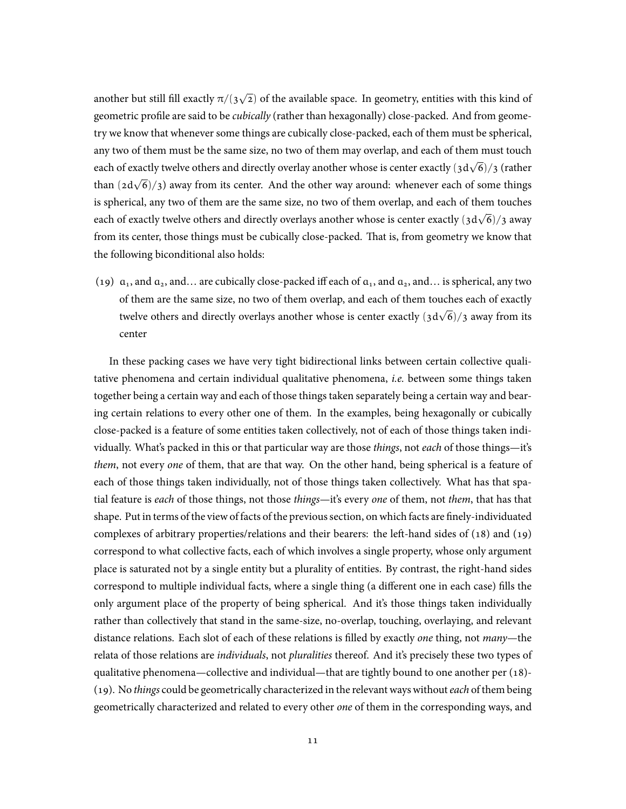another but still fill exactly  $\pi/(3\sqrt{2})$  of the available space. In geometry, entities with this kind of geometric profile are said to be *cubically* (rather than hexagonally) close-packed. And from geometry we know that whenever some things are cubically close-packed, each of them must be spherical, any two of them must be the same size, no two of them may overlap, and each of them must touch each of exactly twelve others and directly overlay another whose is center exactly (3d *√* 6)/3 (rather than (2d *√* 6)/3) away from its center. And the other way around: whenever each of some things is spherical, any two of them are the same size, no two of them overlap, and each of them touches each of exactly twelve others and directly overlays another whose is center exactly (3d *√* 6)/3 away from its center, those things must be cubically close-packed. That is, from geometry we know that the following biconditional also holds:

(19)  $a_1$ , and  $a_2$ , and... are cubically close-packed iff each of  $a_1$ , and  $a_2$ , and... is spherical, any two of them are the same size, no two of them overlap, and each of them touches each of exactly twelve others and directly overlays another whose is center exactly (3d *√* 6)/3 away from its center

In these packing cases we have very tight bidirectional links between certain collective qualitative phenomena and certain individual qualitative phenomena, *i.e.* between some things taken together being a certain way and each of those things taken separately being a certain way and bearing certain relations to every other one of them. In the examples, being hexagonally or cubically close-packed is a feature of some entities taken collectively, not of each of those things taken individually. What's packed in this or that particular way are those *things*, not *each* of those things—it's *them*, not every *one* of them, that are that way. On the other hand, being spherical is a feature of each of those things taken individually, not of those things taken collectively. What has that spatial feature is *each* of those things, not those *things*—it's every *one* of them, not *them*, that has that shape. Put in terms of the view of facts of the previous section, on which facts are finely-individuated complexes of arbitrary properties/relations and their bearers: the left-hand sides of (18) and (19) correspond to what collective facts, each of which involves a single property, whose only argument place is saturated not by a single entity but a plurality of entities. By contrast, the right-hand sides correspond to multiple individual facts, where a single thing (a different one in each case) fills the only argument place of the property of being spherical. And it's those things taken individually rather than collectively that stand in the same-size, no-overlap, touching, overlaying, and relevant distance relations. Each slot of each of these relations is filled by exactly *one* thing, not *many*—the relata of those relations are *individuals*, not *pluralities* thereof. And it's precisely these two types of qualitative phenomena—collective and individual—that are tightly bound to one another per (18)- (19). No *things* could be geometrically characterized in the relevant ways without *each* of them being geometrically characterized and related to every other *one* of them in the corresponding ways, and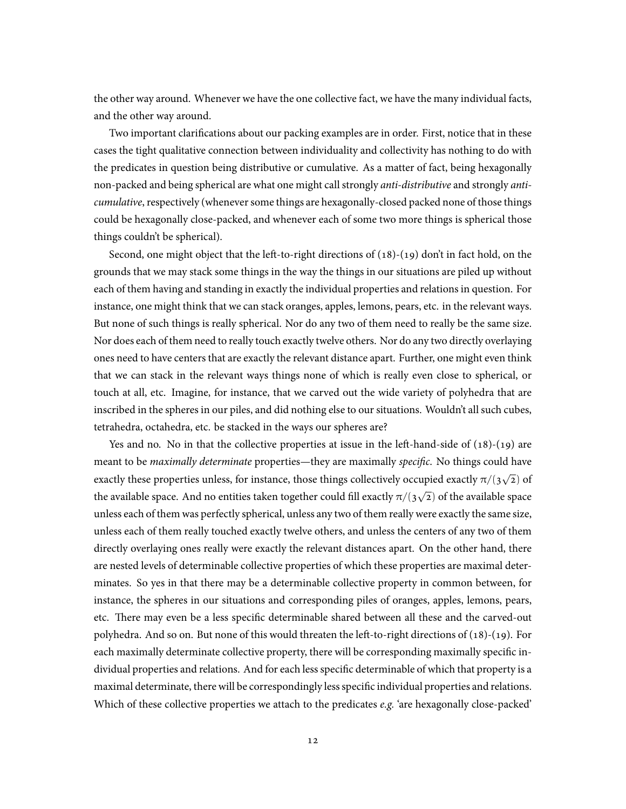the other way around. Whenever we have the one collective fact, we have the many individual facts, and the other way around.

Two important clarifications about our packing examples are in order. First, notice that in these cases the tight qualitative connection between individuality and collectivity has nothing to do with the predicates in question being distributive or cumulative. As a matter of fact, being hexagonally non-packed and being spherical are what one might call strongly *anti-distributive* and strongly *anticumulative*, respectively (whenever some things are hexagonally-closed packed none of those things could be hexagonally close-packed, and whenever each of some two more things is spherical those things couldn't be spherical).

Second, one might object that the left-to-right directions of (18)-(19) don't in fact hold, on the grounds that we may stack some things in the way the things in our situations are piled up without each of them having and standing in exactly the individual properties and relations in question. For instance, one might think that we can stack oranges, apples, lemons, pears, etc. in the relevant ways. But none of such things is really spherical. Nor do any two of them need to really be the same size. Nor does each of them need to really touch exactly twelve others. Nor do any two directly overlaying ones need to have centers that are exactly the relevant distance apart. Further, one might even think that we can stack in the relevant ways things none of which is really even close to spherical, or touch at all, etc. Imagine, for instance, that we carved out the wide variety of polyhedra that are inscribed in the spheres in our piles, and did nothing else to our situations. Wouldn't all such cubes, tetrahedra, octahedra, etc. be stacked in the ways our spheres are?

Yes and no. No in that the collective properties at issue in the left-hand-side of (18)-(19) are meant to be *maximally determinate* properties—they are maximally *specific*. No things could have exactly these properties unless, for instance, those things collectively occupied exactly  $\pi/(3\sqrt{2})$  of the available space. And no entities taken together could fill exactly  $\pi/( \frac{3}{\sqrt{2}})$  of the available space unless each of them was perfectly spherical, unless any two of them really were exactly the same size, unless each of them really touched exactly twelve others, and unless the centers of any two of them directly overlaying ones really were exactly the relevant distances apart. On the other hand, there are nested levels of determinable collective properties of which these properties are maximal determinates. So yes in that there may be a determinable collective property in common between, for instance, the spheres in our situations and corresponding piles of oranges, apples, lemons, pears, etc. There may even be a less specific determinable shared between all these and the carved-out polyhedra. And so on. But none of this would threaten the left-to-right directions of (18)-(19). For each maximally determinate collective property, there will be corresponding maximally specific individual properties and relations. And for each less specific determinable of which that property is a maximal determinate, there will be correspondingly less specific individual properties and relations. Which of these collective properties we attach to the predicates *e.g.* 'are hexagonally close-packed'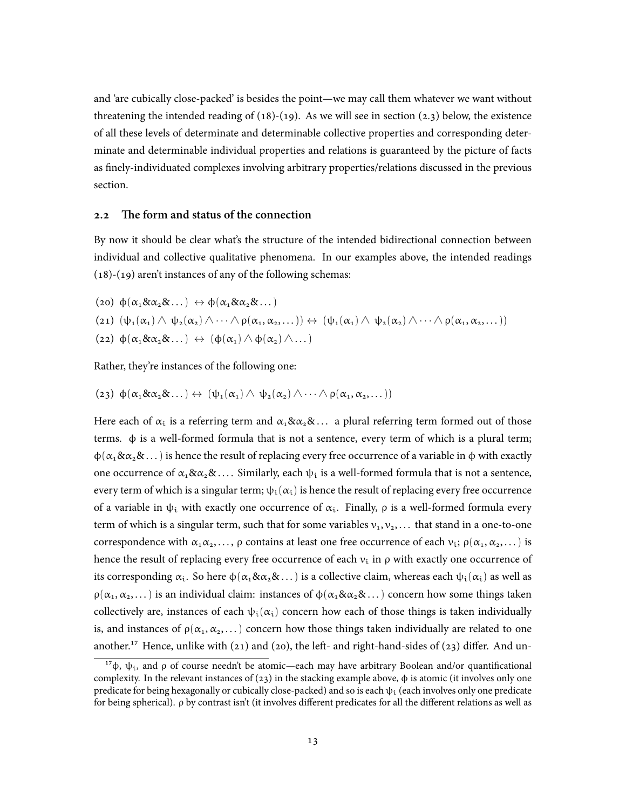and 'are cubically close-packed' is besides the point—we may call them whatever we want without threatening the intended reading of  $(18)-(19)$ . As we will see in section  $(2.3)$  below, the existence of all these levels of determinate and determinable collective properties and corresponding determinate and determinable individual properties and relations is guaranteed by the picture of facts as finely-individuated complexes involving arbitrary properties/relations discussed in the previous section.

#### **2.2 The form and status of the connection**

By now it should be clear what's the structure of the intended bidirectional connection between individual and collective qualitative phenomena. In our examples above, the intended readings (18)-(19) aren't instances of any of the following schemas:

(20)  $\phi(\alpha_1 \& \alpha_2 \& \dots) \leftrightarrow \phi(\alpha_1 \& \alpha_2 \& \dots)$ (21)  $(\psi_1(\alpha_1) \wedge \psi_2(\alpha_2) \wedge \cdots \wedge \rho(\alpha_1, \alpha_2, \dots)) \leftrightarrow (\psi_1(\alpha_1) \wedge \psi_2(\alpha_2) \wedge \cdots \wedge \rho(\alpha_1, \alpha_2, \dots))$ (22)  $\phi(\alpha_1 \& \alpha_2 \& \dots) \leftrightarrow (\phi(\alpha_1) \land \phi(\alpha_2) \land \dots)$ 

Rather, they're instances of the following one:

(23)  $\phi(\alpha_1 \& \alpha_2 \& \dots) \leftrightarrow (\psi_1(\alpha_1) \land \psi_2(\alpha_2) \land \dots \land \rho(\alpha_1, \alpha_2, \dots))$ 

Here each of  $\alpha_i$  is a referring term and  $\alpha_1 \& \alpha_2 \& \dots$  a plural referring term formed out of those terms. ϕ is a well-formed formula that is not a sentence, every term of which is a plural term;  $\phi(\alpha_1 \& \alpha_2 \& \dots)$  is hence the result of replacing every free occurrence of a variable in  $\phi$  with exactly one occurrence of  $\alpha_1 \& \alpha_2 \& \ldots$  Similarly, each  $\psi_i$  is a well-formed formula that is not a sentence, every term of which is a singular term;  $\psi_i(\alpha_i)$  is hence the result of replacing every free occurrence of a variable in  $\psi_i$  with exactly one occurrence of  $\alpha_i$ . Finally,  $\rho$  is a well-formed formula every term of which is a singular term, such that for some variables  $v_1, v_2, \ldots$  that stand in a one-to-one correspondence with  $\alpha_1\alpha_2,\ldots$ ,  $\rho$  contains at least one free occurrence of each  $v_i$ ;  $\rho(\alpha_1,\alpha_2,\ldots)$  is hence the result of replacing every free occurrence of each  $v_i$  in  $\rho$  with exactly one occurrence of its corresponding  $\alpha_i$ . So here  $\phi(\alpha_1\&\alpha_2\&\ldots)$  is a collective claim, whereas each  $\psi_i(\alpha_i)$  as well as  $\rho(\alpha_1, \alpha_2, \dots)$  is an individual claim: instances of  $\phi(\alpha_1 \& \alpha_2 \& \dots)$  concern how some things taken collectively are, instances of each  $\psi_i(\alpha_i)$  concern how each of those things is taken individually is, and instances of  $\rho(\alpha_1, \alpha_2, \dots)$  concern how those things taken individually are related to one another.<sup>17</sup> Hence, unlike with (21) and (20), the left- and right-hand-sides of (23) differ. And un-

<sup>&</sup>lt;sup>17</sup> $\phi$ ,  $\psi_i$ , and  $\rho$  of course needn't be atomic—each may have arbitrary Boolean and/or quantificational complexity. In the relevant instances of  $(23)$  in the stacking example above,  $\phi$  is atomic (it involves only one predicate for being hexagonally or cubically close-packed) and so is each  $\psi_i$  (each involves only one predicate for being spherical). ρ by contrast isn't (it involves different predicates for all the different relations as well as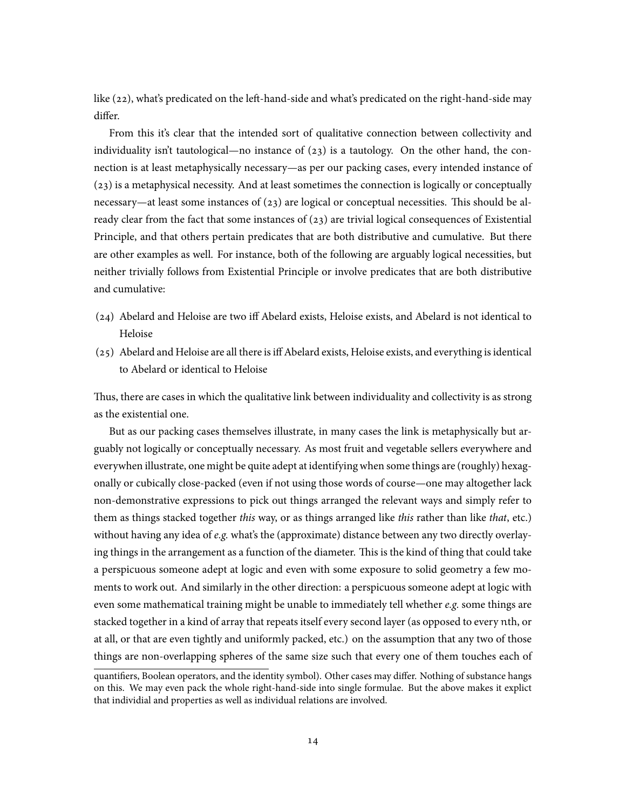like (22), what's predicated on the left-hand-side and what's predicated on the right-hand-side may differ.

From this it's clear that the intended sort of qualitative connection between collectivity and individuality isn't tautological—no instance of  $(23)$  is a tautology. On the other hand, the connection is at least metaphysically necessary—as per our packing cases, every intended instance of (23) is a metaphysical necessity. And at least sometimes the connection is logically or conceptually necessary—at least some instances of  $(23)$  are logical or conceptual necessities. This should be already clear from the fact that some instances of  $(23)$  are trivial logical consequences of Existential Principle, and that others pertain predicates that are both distributive and cumulative. But there are other examples as well. For instance, both of the following are arguably logical necessities, but neither trivially follows from Existential Principle or involve predicates that are both distributive and cumulative:

- (24) Abelard and Heloise are two iff Abelard exists, Heloise exists, and Abelard is not identical to Heloise
- (25) Abelard and Heloise are all there is iff Abelard exists, Heloise exists, and everything is identical to Abelard or identical to Heloise

Thus, there are cases in which the qualitative link between individuality and collectivity is as strong as the existential one.

But as our packing cases themselves illustrate, in many cases the link is metaphysically but arguably not logically or conceptually necessary. As most fruit and vegetable sellers everywhere and everywhen illustrate, one might be quite adept at identifying when some things are (roughly) hexagonally or cubically close-packed (even if not using those words of course—one may altogether lack non-demonstrative expressions to pick out things arranged the relevant ways and simply refer to them as things stacked together *this* way, or as things arranged like *this* rather than like *that*, etc.) without having any idea of *e.g.* what's the (approximate) distance between any two directly overlaying things in the arrangement as a function of the diameter. This is the kind of thing that could take a perspicuous someone adept at logic and even with some exposure to solid geometry a few moments to work out. And similarly in the other direction: a perspicuous someone adept at logic with even some mathematical training might be unable to immediately tell whether *e.g.* some things are stacked together in a kind of array that repeats itself every second layer (as opposed to every nth, or at all, or that are even tightly and uniformly packed, etc.) on the assumption that any two of those things are non-overlapping spheres of the same size such that every one of them touches each of

quantifiers, Boolean operators, and the identity symbol). Other cases may differ. Nothing of substance hangs on this. We may even pack the whole right-hand-side into single formulae. But the above makes it explict that individial and properties as well as individual relations are involved.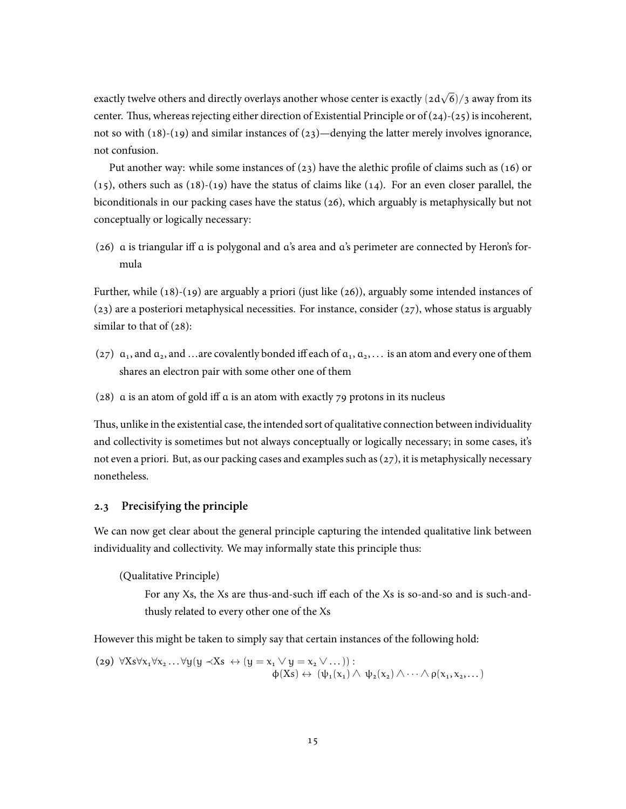exactly twelve others and directly overlays another whose center is exactly (2d *√* 6)/3 away from its center. Thus, whereas rejecting either direction of Existential Principle or of  $(24)-(25)$  is incoherent, not so with  $(18)-(19)$  and similar instances of  $(23)$ —denying the latter merely involves ignorance, not confusion.

Put another way: while some instances of (23) have the alethic profile of claims such as (16) or (15), others such as (18)-(19) have the status of claims like (14). For an even closer parallel, the biconditionals in our packing cases have the status (26), which arguably is metaphysically but not conceptually or logically necessary:

(26) a is triangular iff a is polygonal and a's area and a's perimeter are connected by Heron's formula

Further, while (18)-(19) are arguably a priori (just like (26)), arguably some intended instances of (23) are a posteriori metaphysical necessities. For instance, consider (27), whose status is arguably similar to that of  $(28)$ :

- (27)  $a_1$ , and  $a_2$ , and …are covalently bonded iff each of  $a_1, a_2, \ldots$  is an atom and every one of them shares an electron pair with some other one of them
- (28) a is an atom of gold iff a is an atom with exactly 79 protons in its nucleus

Thus, unlike in the existential case, the intended sort of qualitative connection between individuality and collectivity is sometimes but not always conceptually or logically necessary; in some cases, it's not even a priori. But, as our packing cases and examples such as (27), it is metaphysically necessary nonetheless.

## **2.3 Precisifying the principle**

We can now get clear about the general principle capturing the intended qualitative link between individuality and collectivity. We may informally state this principle thus:

(Qualitative Principle)

For any Xs, the Xs are thus-and-such iff each of the Xs is so-and-so and is such-andthusly related to every other one of the Xs

However this might be taken to simply say that certain instances of the following hold:

$$
\begin{array}{l}\n\text{(29)} \ \forall X s \forall x_1 \forall x_2 \dots \forall y (y \prec Xs \leftrightarrow (y = x_1 \lor y = x_2 \lor \dots)) : \\
\varphi(Xs) \leftrightarrow (\psi_1(x_1) \land \psi_2(x_2) \land \dots \land \rho(x_1, x_2, \dots)\n\end{array}
$$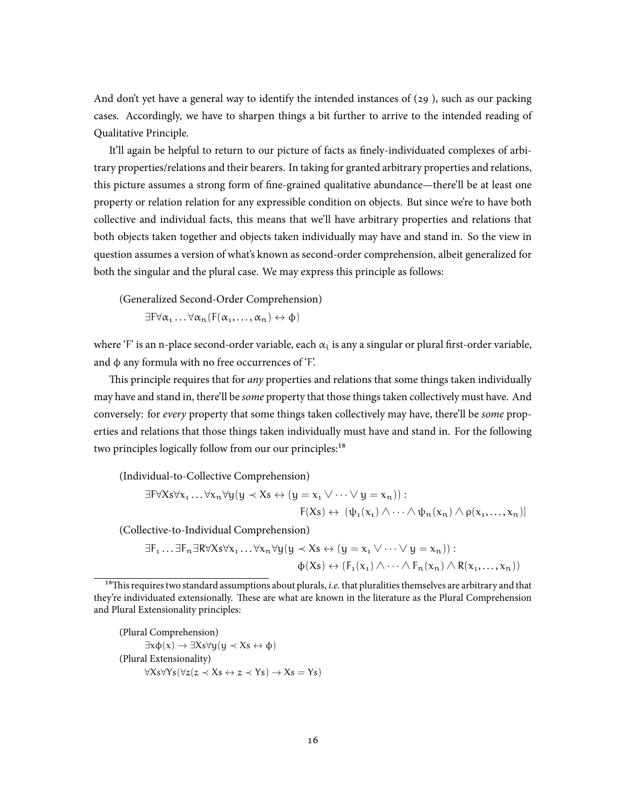And don't yet have a general way to identify the intended instances of  $(29)$ , such as our packing cases. Accordingly, we have to sharpen things a bit further to arrive to the intended reading of Qualitative Principle.

It'll again be helpful to return to our picture of facts as finely-individuated complexes of arbitrary properties/relations and their bearers. In taking for granted arbitrary properties and relations, this picture assumes a strong form of fine-grained qualitative abundance—there'll be at least one property or relation relation for any expressible condition on objects. But since we're to have both collective and individual facts, this means that we'll have arbitrary properties and relations that both objects taken together and objects taken individually may have and stand in. So the view in question assumes a version of what's known as second-order comprehension, albeit generalized for both the singular and the plural case. We may express this principle as follows:

(Generalized Second-Order Comprehension)

 $\exists$ F $\forall \alpha_1 \dots \forall \alpha_n$  (F( $\alpha_1, \dots, \alpha_n$ )  $\leftrightarrow \phi$ )

where 'F' is an n-place second-order variable, each  $\alpha_i$  is any a singular or plural first-order variable, and  $\phi$  any formula with no free occurrences of 'F'.

This principle requires that for *any* properties and relations that some things taken individually may have and stand in, there'll be *some* property that those things taken collectively must have. And conversely: for *every* property that some things taken collectively may have, there'll be *some* properties and relations that those things taken individually must have and stand in. For the following two principles logically follow from our our principles:<sup>18</sup>

(Individual-to-Collective Comprehension)

$$
\exists F\forall Xs\forall x_1...\forall x_n\forall y(y\prec Xs\leftrightarrow (y=x_1\vee\cdots\vee y=x_n)):
$$
  

$$
F(Xs)\leftrightarrow (\psi_1(x_1)\wedge\cdots\wedge\psi_n(x_n)\wedge \rho(x_1,\ldots,x_n))
$$

(Collective-to-Individual Comprehension)

$$
\exists F_1 \dots \exists F_n \exists R \forall X s \forall x_1 \dots \forall x_n \forall y (y \prec Xs \leftrightarrow (y = x_1 \lor \dots \lor y = x_n)) : \\
\varphi(Xs) \leftrightarrow (F_1(x_1) \land \dots \land F_n(x_n) \land R(x_1, \dots, x_n))
$$

<sup>&</sup>lt;sup>18</sup>This requires two standard assumptions about plurals, *i.e.* that pluralities themselves are arbitrary and that they're individuated extensionally. These are what are known in the literature as the Plural Comprehension and Plural Extensionality principles:

<sup>(</sup>Plural Comprehension) *∃*xϕ(x) *→ ∃*Xs*∀*y(y *≺* Xs *↔* ϕ) (Plural Extensionality) *∀*Xs*∀*Ys(*∀*z(z *≺* Xs *↔* z *≺* Ys) *→* Xs = Ys)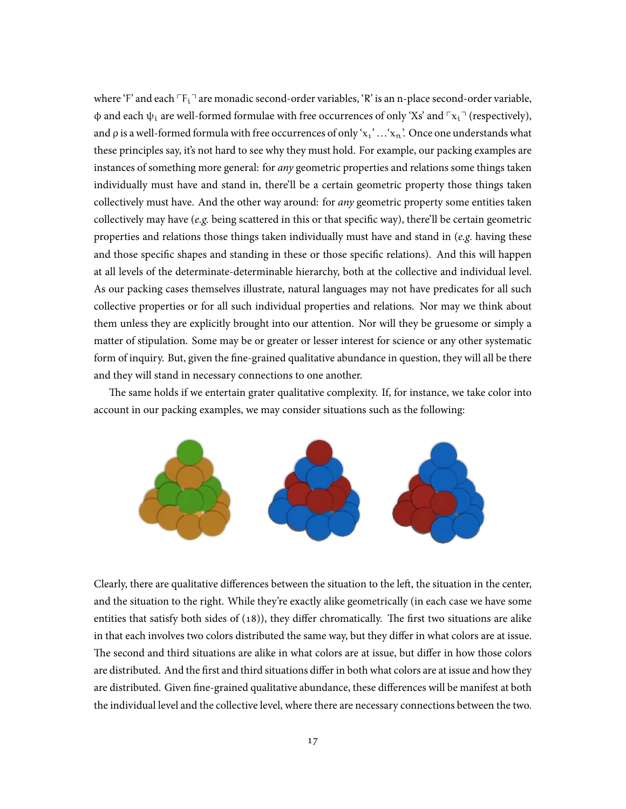where 'F' and each  $\ulcorner F_i \urcorner$  are monadic second-order variables, 'R' is an n-place second-order variable,  $\phi$  and each  $\psi_i$  are well-formed formulae with free occurrences of only 'Xs' and  $\lceil x_i \rceil$  (respectively), and  $\rho$  is a well-formed formula with free occurrences of only ' $x_1$ ' ...' $x_n$ '. Once one understands what these principles say, it's not hard to see why they must hold. For example, our packing examples are instances of something more general: for *any* geometric properties and relations some things taken individually must have and stand in, there'll be a certain geometric property those things taken collectively must have. And the other way around: for *any* geometric property some entities taken collectively may have (*e.g.* being scattered in this or that specific way), there'll be certain geometric properties and relations those things taken individually must have and stand in (*e.g.* having these and those specific shapes and standing in these or those specific relations). And this will happen at all levels of the determinate-determinable hierarchy, both at the collective and individual level. As our packing cases themselves illustrate, natural languages may not have predicates for all such collective properties or for all such individual properties and relations. Nor may we think about them unless they are explicitly brought into our attention. Nor will they be gruesome or simply a matter of stipulation. Some may be or greater or lesser interest for science or any other systematic form of inquiry. But, given the fine-grained qualitative abundance in question, they will all be there and they will stand in necessary connections to one another.

The same holds if we entertain grater qualitative complexity. If, for instance, we take color into account in our packing examples, we may consider situations such as the following:



Clearly, there are qualitative differences between the situation to the left, the situation in the center, and the situation to the right. While they're exactly alike geometrically (in each case we have some entities that satisfy both sides of (18)), they differ chromatically. The first two situations are alike in that each involves two colors distributed the same way, but they differ in what colors are at issue. The second and third situations are alike in what colors are at issue, but differ in how those colors are distributed. And the first and third situations differ in both what colors are at issue and how they are distributed. Given fine-grained qualitative abundance, these differences will be manifest at both the individual level and the collective level, where there are necessary connections between the two.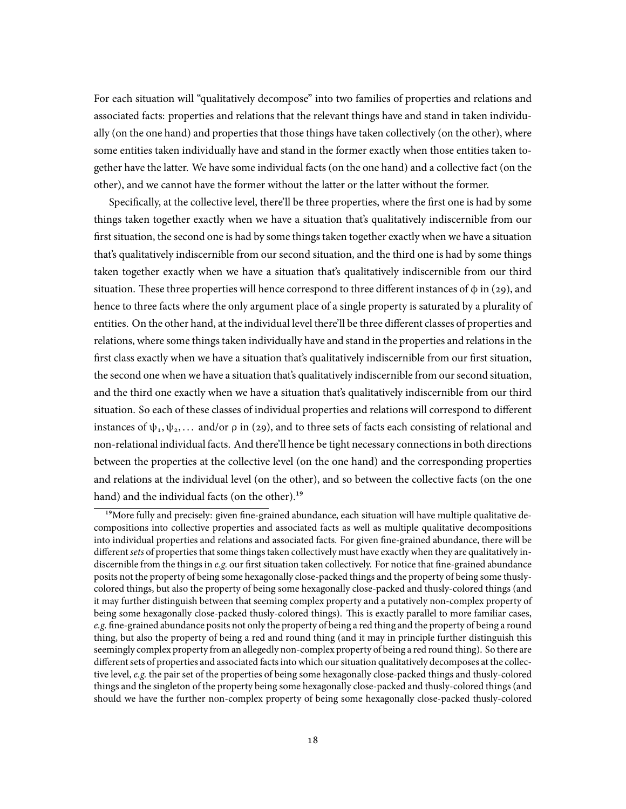For each situation will "qualitatively decompose" into two families of properties and relations and associated facts: properties and relations that the relevant things have and stand in taken individually (on the one hand) and properties that those things have taken collectively (on the other), where some entities taken individually have and stand in the former exactly when those entities taken together have the latter. We have some individual facts (on the one hand) and a collective fact (on the other), and we cannot have the former without the latter or the latter without the former.

Specifically, at the collective level, there'll be three properties, where the first one is had by some things taken together exactly when we have a situation that's qualitatively indiscernible from our first situation, the second one is had by some things taken together exactly when we have a situation that's qualitatively indiscernible from our second situation, and the third one is had by some things taken together exactly when we have a situation that's qualitatively indiscernible from our third situation. These three properties will hence correspond to three different instances of  $\phi$  in (29), and hence to three facts where the only argument place of a single property is saturated by a plurality of entities. On the other hand, at the individual level there'll be three different classes of properties and relations, where some things taken individually have and stand in the properties and relations in the first class exactly when we have a situation that's qualitatively indiscernible from our first situation, the second one when we have a situation that's qualitatively indiscernible from our second situation, and the third one exactly when we have a situation that's qualitatively indiscernible from our third situation. So each of these classes of individual properties and relations will correspond to different instances of  $\psi_1, \psi_2, \ldots$  and/or  $\rho$  in (29), and to three sets of facts each consisting of relational and non-relational individual facts. And there'll hence be tight necessary connections in both directions between the properties at the collective level (on the one hand) and the corresponding properties and relations at the individual level (on the other), and so between the collective facts (on the one hand) and the individual facts (on the other).<sup>19</sup>

<sup>&</sup>lt;sup>19</sup>More fully and precisely: given fine-grained abundance, each situation will have multiple qualitative decompositions into collective properties and associated facts as well as multiple qualitative decompositions into individual properties and relations and associated facts. For given fine-grained abundance, there will be different *sets* of properties that some things taken collectively must have exactly when they are qualitatively indiscernible from the things in *e.g.* our first situation taken collectively. For notice that fine-grained abundance posits not the property of being some hexagonally close-packed things and the property of being some thuslycolored things, but also the property of being some hexagonally close-packed and thusly-colored things (and it may further distinguish between that seeming complex property and a putatively non-complex property of being some hexagonally close-packed thusly-colored things). This is exactly parallel to more familiar cases, *e.g.* fine-grained abundance posits not only the property of being a red thing and the property of being a round thing, but also the property of being a red and round thing (and it may in principle further distinguish this seemingly complex property from an allegedly non-complex property of being a red round thing). So there are different sets of properties and associated facts into which our situation qualitatively decomposes at the collective level, *e.g.* the pair set of the properties of being some hexagonally close-packed things and thusly-colored things and the singleton of the property being some hexagonally close-packed and thusly-colored things (and should we have the further non-complex property of being some hexagonally close-packed thusly-colored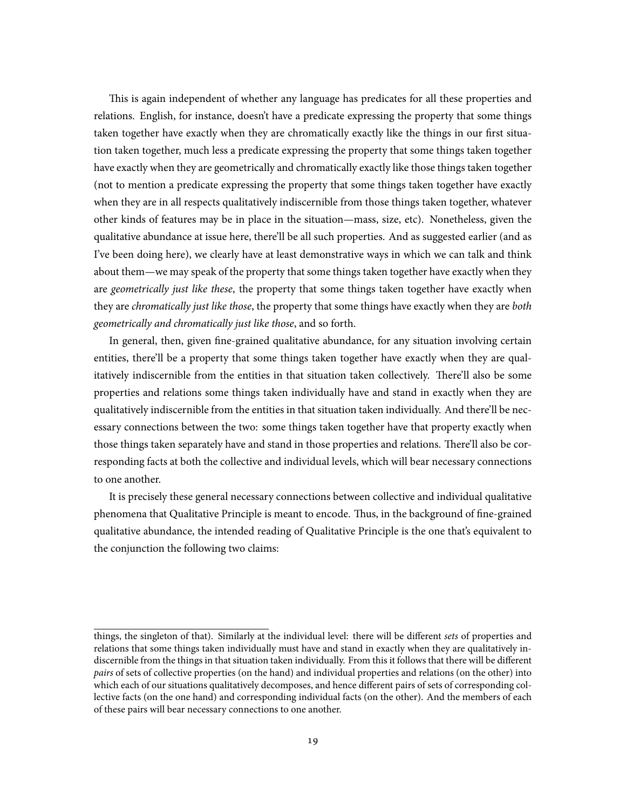This is again independent of whether any language has predicates for all these properties and relations. English, for instance, doesn't have a predicate expressing the property that some things taken together have exactly when they are chromatically exactly like the things in our first situation taken together, much less a predicate expressing the property that some things taken together have exactly when they are geometrically and chromatically exactly like those things taken together (not to mention a predicate expressing the property that some things taken together have exactly when they are in all respects qualitatively indiscernible from those things taken together, whatever other kinds of features may be in place in the situation—mass, size, etc). Nonetheless, given the qualitative abundance at issue here, there'll be all such properties. And as suggested earlier (and as I've been doing here), we clearly have at least demonstrative ways in which we can talk and think about them—we may speak of the property that some things taken together have exactly when they are *geometrically just like these*, the property that some things taken together have exactly when they are *chromatically just like those*, the property that some things have exactly when they are *both geometrically and chromatically just like those*, and so forth.

In general, then, given fine-grained qualitative abundance, for any situation involving certain entities, there'll be a property that some things taken together have exactly when they are qualitatively indiscernible from the entities in that situation taken collectively. There'll also be some properties and relations some things taken individually have and stand in exactly when they are qualitatively indiscernible from the entities in that situation taken individually. And there'll be necessary connections between the two: some things taken together have that property exactly when those things taken separately have and stand in those properties and relations. There'll also be corresponding facts at both the collective and individual levels, which will bear necessary connections to one another.

It is precisely these general necessary connections between collective and individual qualitative phenomena that Qualitative Principle is meant to encode. Thus, in the background of fine-grained qualitative abundance, the intended reading of Qualitative Principle is the one that's equivalent to the conjunction the following two claims:

things, the singleton of that). Similarly at the individual level: there will be different *sets* of properties and relations that some things taken individually must have and stand in exactly when they are qualitatively indiscernible from the things in that situation taken individually. From this it follows that there will be different *pairs* of sets of collective properties (on the hand) and individual properties and relations (on the other) into which each of our situations qualitatively decomposes, and hence different pairs of sets of corresponding collective facts (on the one hand) and corresponding individual facts (on the other). And the members of each of these pairs will bear necessary connections to one another.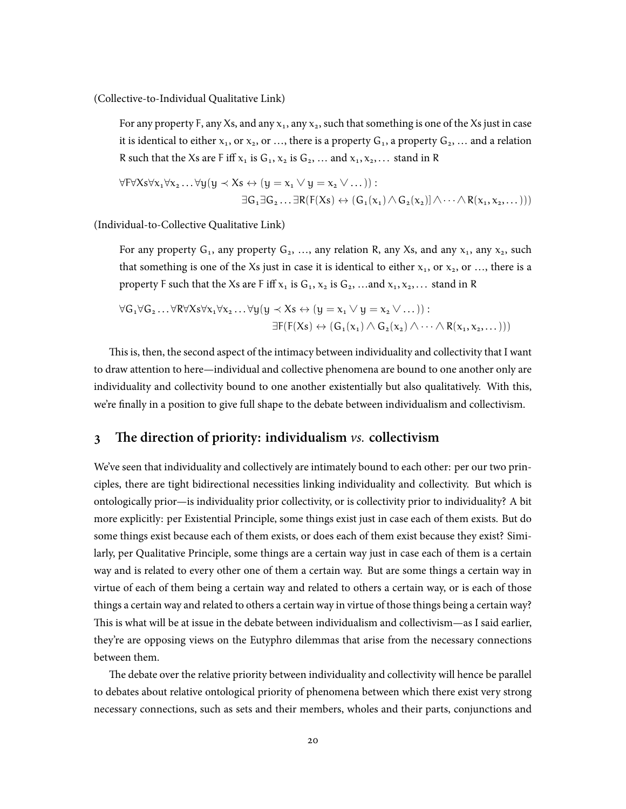(Collective-to-Individual Qualitative Link)

For any property F, any Xs, and any  $x_1$ , any  $x_2$ , such that something is one of the Xs just in case it is identical to either  $x_1$ , or  $x_2$ , or …, there is a property  $G_1$ , a property  $G_2$ , … and a relation R such that the Xs are F iff  $x_1$  is  $G_1, x_2$  is  $G_2, \ldots$  and  $x_1, x_2, \ldots$  stand in R

$$
\forall F \forall X s \forall x_1 \forall x_2 \dots \forall y (y \prec Xs \leftrightarrow (y = x_1 \lor y = x_2 \lor \dots)) :
$$
  

$$
\exists G_1 \exists G_2 \dots \exists R(F(Xs) \leftrightarrow (G_1(x_1) \land G_2(x_2)) \land \dots \land R(x_1, x_2, \dots)))
$$

(Individual-to-Collective Qualitative Link)

For any property  $G_1$ , any property  $G_2$ , ..., any relation R, any Xs, and any  $x_1$ , any  $x_2$ , such that something is one of the Xs just in case it is identical to either  $x_1$ , or  $x_2$ , or ..., there is a property F such that the Xs are F iff  $x_1$  is  $G_1, x_2$  is  $G_2, \ldots$  and  $x_1, x_2, \ldots$  stand in R

$$
\forall G_1 \forall G_2 \dots \forall R \forall X s \forall x_1 \forall x_2 \dots \forall y (y \prec Xs \leftrightarrow (y = x_1 \lor y = x_2 \lor \dots)) :
$$
  

$$
\exists F(F(Xs) \leftrightarrow (G_1(x_1) \land G_2(x_2) \land \dots \land R(x_1, x_2, \dots)))
$$

This is, then, the second aspect of the intimacy between individuality and collectivity that I want to draw attention to here—individual and collective phenomena are bound to one another only are individuality and collectivity bound to one another existentially but also qualitatively. With this, we're finally in a position to give full shape to the debate between individualism and collectivism.

# **3 The direction of priority: individualism** *vs.* **collectivism**

We've seen that individuality and collectively are intimately bound to each other: per our two principles, there are tight bidirectional necessities linking individuality and collectivity. But which is ontologically prior—is individuality prior collectivity, or is collectivity prior to individuality? A bit more explicitly: per Existential Principle, some things exist just in case each of them exists. But do some things exist because each of them exists, or does each of them exist because they exist? Similarly, per Qualitative Principle, some things are a certain way just in case each of them is a certain way and is related to every other one of them a certain way. But are some things a certain way in virtue of each of them being a certain way and related to others a certain way, or is each of those things a certain way and related to others a certain way in virtue of those things being a certain way? This is what will be at issue in the debate between individualism and collectivism—as I said earlier, they're are opposing views on the Eutyphro dilemmas that arise from the necessary connections between them.

The debate over the relative priority between individuality and collectivity will hence be parallel to debates about relative ontological priority of phenomena between which there exist very strong necessary connections, such as sets and their members, wholes and their parts, conjunctions and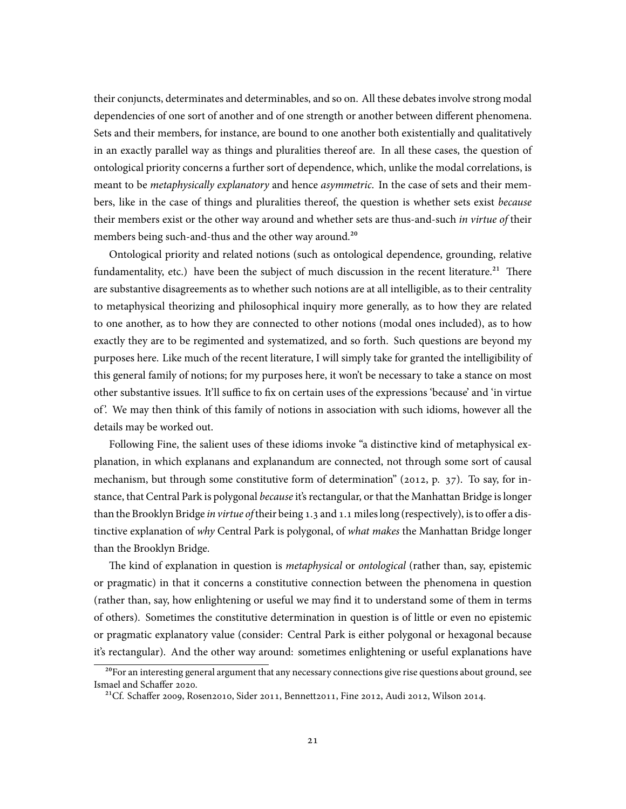their conjuncts, determinates and determinables, and so on. All these debates involve strong modal dependencies of one sort of another and of one strength or another between different phenomena. Sets and their members, for instance, are bound to one another both existentially and qualitatively in an exactly parallel way as things and pluralities thereof are. In all these cases, the question of ontological priority concerns a further sort of dependence, which, unlike the modal correlations, is meant to be *metaphysically explanatory* and hence *asymmetric*. In the case of sets and their members, like in the case of things and pluralities thereof, the question is whether sets exist *because* their members exist or the other way around and whether sets are thus-and-such *in virtue of* their members being such-and-thus and the other way around.<sup>20</sup>

Ontological priority and related notions (such as ontological dependence, grounding, relative fundamentality, etc.) have been the subject of much discussion in the recent literature.<sup>21</sup> There are substantive disagreements as to whether such notions are at all intelligible, as to their centrality to metaphysical theorizing and philosophical inquiry more generally, as to how they are related to one another, as to how they are connected to other notions (modal ones included), as to how exactly they are to be regimented and systematized, and so forth. Such questions are beyond my purposes here. Like much of the recent literature, I will simply take for granted the intelligibility of this general family of notions; for my purposes here, it won't be necessary to take a stance on most other substantive issues. It'll suffice to fix on certain uses of the expressions 'because' and 'in virtue of '. We may then think of this family of notions in association with such idioms, however all the details may be worked out.

Following Fine, the salient uses of these idioms invoke "a distinctive kind of metaphysical explanation, in which explanans and explanandum are connected, not through some sort of causal mechanism, but through some constitutive form of determination" (2012, p. 37). To say, for instance, that Central Park is polygonal *because* it's rectangular, or that the Manhattan Bridge is longer than the Brooklyn Bridge *in virtue of* their being 1.3 and 1.1 miles long (respectively), is to offer a distinctive explanation of *why* Central Park is polygonal, of *what makes* the Manhattan Bridge longer than the Brooklyn Bridge.

The kind of explanation in question is *metaphysical* or *ontological* (rather than, say, epistemic or pragmatic) in that it concerns a constitutive connection between the phenomena in question (rather than, say, how enlightening or useful we may find it to understand some of them in terms of others). Sometimes the constitutive determination in question is of little or even no epistemic or pragmatic explanatory value (consider: Central Park is either polygonal or hexagonal because it's rectangular). And the other way around: sometimes enlightening or useful explanations have

<sup>&</sup>lt;sup>20</sup>For an interesting general argument that any necessary connections give rise questions about ground, see Ismael and Schaffer 2020.

<sup>&</sup>lt;sup>21</sup>Cf. Schaffer 2009, Rosen2010, Sider 2011, Bennett2011, Fine 2012, Audi 2012, Wilson 2014.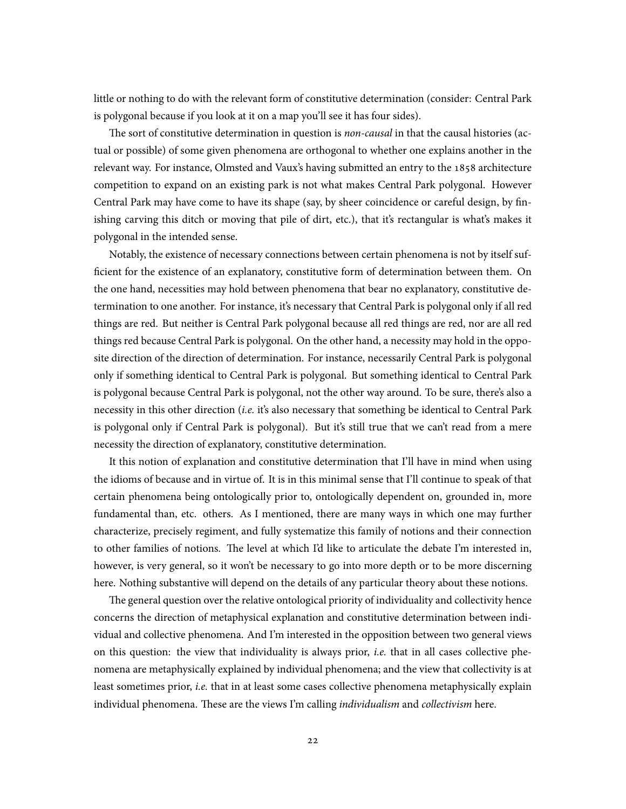little or nothing to do with the relevant form of constitutive determination (consider: Central Park is polygonal because if you look at it on a map you'll see it has four sides).

The sort of constitutive determination in question is *non-causal* in that the causal histories (actual or possible) of some given phenomena are orthogonal to whether one explains another in the relevant way. For instance, Olmsted and Vaux's having submitted an entry to the 1858 architecture competition to expand on an existing park is not what makes Central Park polygonal. However Central Park may have come to have its shape (say, by sheer coincidence or careful design, by finishing carving this ditch or moving that pile of dirt, etc.), that it's rectangular is what's makes it polygonal in the intended sense.

Notably, the existence of necessary connections between certain phenomena is not by itself sufficient for the existence of an explanatory, constitutive form of determination between them. On the one hand, necessities may hold between phenomena that bear no explanatory, constitutive determination to one another. For instance, it's necessary that Central Park is polygonal only if all red things are red. But neither is Central Park polygonal because all red things are red, nor are all red things red because Central Park is polygonal. On the other hand, a necessity may hold in the opposite direction of the direction of determination. For instance, necessarily Central Park is polygonal only if something identical to Central Park is polygonal. But something identical to Central Park is polygonal because Central Park is polygonal, not the other way around. To be sure, there's also a necessity in this other direction (*i.e.* it's also necessary that something be identical to Central Park is polygonal only if Central Park is polygonal). But it's still true that we can't read from a mere necessity the direction of explanatory, constitutive determination.

It this notion of explanation and constitutive determination that I'll have in mind when using the idioms of because and in virtue of. It is in this minimal sense that I'll continue to speak of that certain phenomena being ontologically prior to, ontologically dependent on, grounded in, more fundamental than, etc. others. As I mentioned, there are many ways in which one may further characterize, precisely regiment, and fully systematize this family of notions and their connection to other families of notions. The level at which I'd like to articulate the debate I'm interested in, however, is very general, so it won't be necessary to go into more depth or to be more discerning here. Nothing substantive will depend on the details of any particular theory about these notions.

The general question over the relative ontological priority of individuality and collectivity hence concerns the direction of metaphysical explanation and constitutive determination between individual and collective phenomena. And I'm interested in the opposition between two general views on this question: the view that individuality is always prior, *i.e.* that in all cases collective phenomena are metaphysically explained by individual phenomena; and the view that collectivity is at least sometimes prior, *i.e.* that in at least some cases collective phenomena metaphysically explain individual phenomena. These are the views I'm calling *individualism* and *collectivism* here.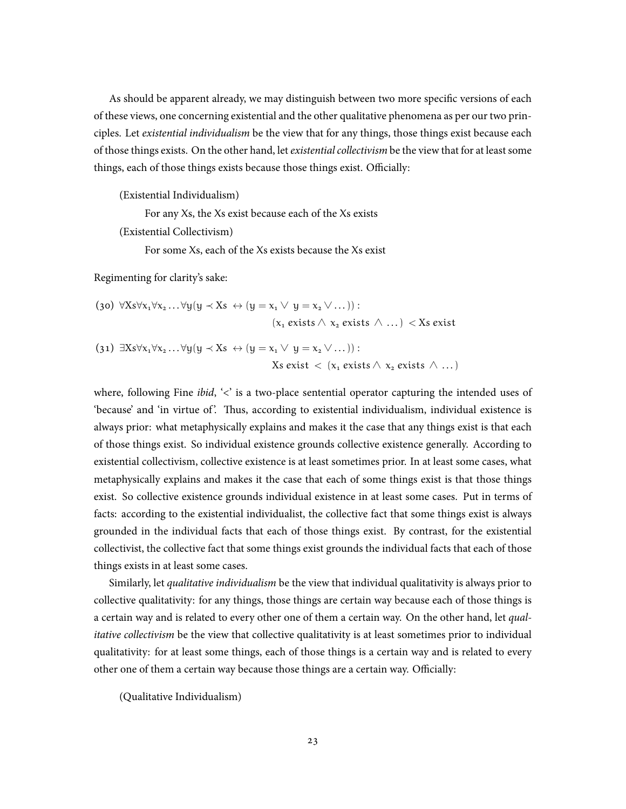As should be apparent already, we may distinguish between two more specific versions of each of these views, one concerning existential and the other qualitative phenomena as per our two principles. Let *existential individualism* be the view that for any things, those things exist because each of those things exists. On the other hand, let *existential collectivism* be the view that for at least some things, each of those things exists because those things exist. Officially:

(Existential Individualism)

For any Xs, the Xs exist because each of the Xs exists

(Existential Collectivism)

For some Xs, each of the Xs exists because the Xs exist

Regimenting for clarity's sake:

(30) 
$$
\forall X s \forall x_1 \forall x_2 ... \forall y (y \prec Xs \leftrightarrow (y = x_1 \lor y = x_2 \lor ...)) :
$$
  
\n( $x_1$  exists  $\land x_2$  exists  $\land ...)$  <  $\prec Xs$  exist

(31) 
$$
\exists Xs \forall x_1 \forall x_2 ... \forall y (y \prec Xs \leftrightarrow (y = x_1 \lor y = x_2 \lor ...)) :
$$
  
  $Xs exist < (x_1 exists \land x_2 exists \land ...)$ 

where, following Fine *ibid*, '<' is a two-place sentential operator capturing the intended uses of 'because' and 'in virtue of'. Thus, according to existential individualism, individual existence is always prior: what metaphysically explains and makes it the case that any things exist is that each of those things exist. So individual existence grounds collective existence generally. According to existential collectivism, collective existence is at least sometimes prior. In at least some cases, what metaphysically explains and makes it the case that each of some things exist is that those things exist. So collective existence grounds individual existence in at least some cases. Put in terms of facts: according to the existential individualist, the collective fact that some things exist is always grounded in the individual facts that each of those things exist. By contrast, for the existential collectivist, the collective fact that some things exist grounds the individual facts that each of those things exists in at least some cases.

Similarly, let *qualitative individualism* be the view that individual qualitativity is always prior to collective qualitativity: for any things, those things are certain way because each of those things is a certain way and is related to every other one of them a certain way. On the other hand, let *qualitative collectivism* be the view that collective qualitativity is at least sometimes prior to individual qualitativity: for at least some things, each of those things is a certain way and is related to every other one of them a certain way because those things are a certain way. Officially:

(Qualitative Individualism)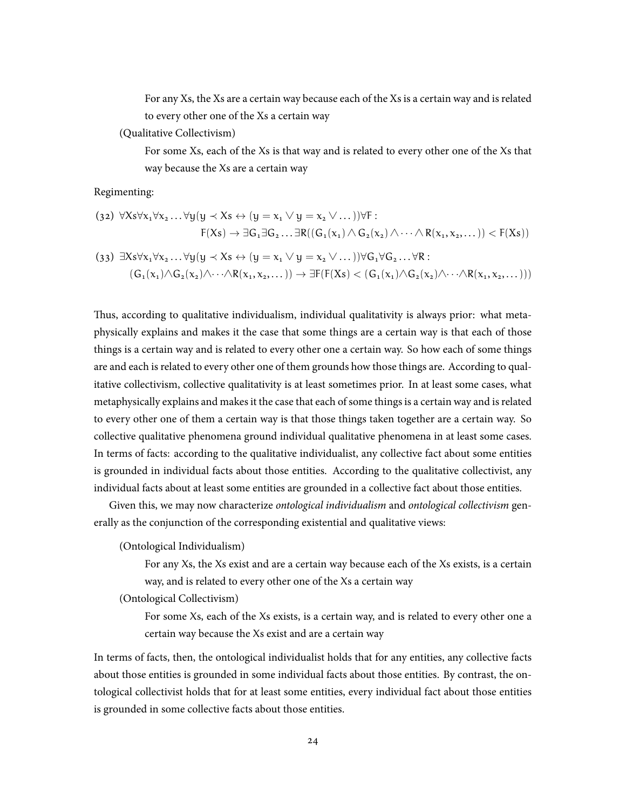For any Xs, the Xs are a certain way because each of the Xs is a certain way and is related to every other one of the Xs a certain way

(Qualitative Collectivism)

For some Xs, each of the Xs is that way and is related to every other one of the Xs that way because the Xs are a certain way

Regimenting:

$$
(32) \ \forall Xs \forall x_1 \forall x_2 \dots \forall y (y \prec Xs \leftrightarrow (y = x_1 \lor y = x_2 \lor \dots)) \forall F:
$$
  
 
$$
F(Xs) \rightarrow \exists G_1 \exists G_2 \dots \exists R((G_1(x_1) \land G_2(x_2) \land \dots \land R(x_1, x_2, \dots)) < F(Xs))
$$

$$
(33) \ \exists Xs \forall x_1 \forall x_2 \dots \forall y (y \prec Xs \leftrightarrow (y = x_1 \lor y = x_2 \lor \dots)) \forall G_1 \forall G_2 \dots \forall R :
$$
  

$$
(G_1(x_1) \land G_2(x_2) \land \dots \land R(x_1, x_2, \dots)) \rightarrow \exists F(F(Xs) < (G_1(x_1) \land G_2(x_2) \land \dots \land R(x_1, x_2, \dots)))
$$

Thus, according to qualitative individualism, individual qualitativity is always prior: what metaphysically explains and makes it the case that some things are a certain way is that each of those things is a certain way and is related to every other one a certain way. So how each of some things are and each is related to every other one of them grounds how those things are. According to qualitative collectivism, collective qualitativity is at least sometimes prior. In at least some cases, what metaphysically explains and makes it the case that each of some things is a certain way and is related to every other one of them a certain way is that those things taken together are a certain way. So collective qualitative phenomena ground individual qualitative phenomena in at least some cases. In terms of facts: according to the qualitative individualist, any collective fact about some entities is grounded in individual facts about those entities. According to the qualitative collectivist, any individual facts about at least some entities are grounded in a collective fact about those entities.

Given this, we may now characterize *ontological individualism* and *ontological collectivism* generally as the conjunction of the corresponding existential and qualitative views:

(Ontological Individualism)

For any Xs, the Xs exist and are a certain way because each of the Xs exists, is a certain way, and is related to every other one of the Xs a certain way

(Ontological Collectivism)

For some Xs, each of the Xs exists, is a certain way, and is related to every other one a certain way because the Xs exist and are a certain way

In terms of facts, then, the ontological individualist holds that for any entities, any collective facts about those entities is grounded in some individual facts about those entities. By contrast, the ontological collectivist holds that for at least some entities, every individual fact about those entities is grounded in some collective facts about those entities.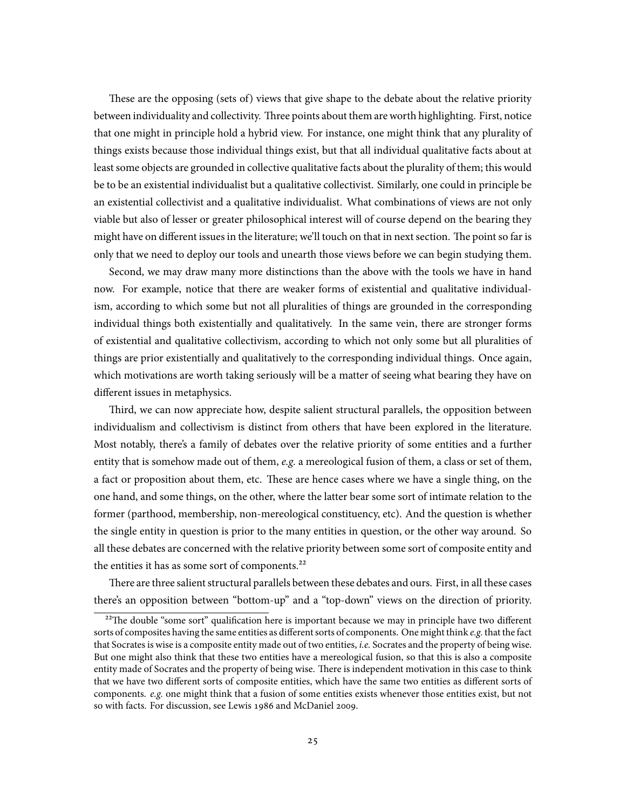These are the opposing (sets of) views that give shape to the debate about the relative priority between individuality and collectivity. Three points about them are worth highlighting. First, notice that one might in principle hold a hybrid view. For instance, one might think that any plurality of things exists because those individual things exist, but that all individual qualitative facts about at least some objects are grounded in collective qualitative facts about the plurality of them; this would be to be an existential individualist but a qualitative collectivist. Similarly, one could in principle be an existential collectivist and a qualitative individualist. What combinations of views are not only viable but also of lesser or greater philosophical interest will of course depend on the bearing they might have on different issues in the literature; we'll touch on that in next section. The point so far is only that we need to deploy our tools and unearth those views before we can begin studying them.

Second, we may draw many more distinctions than the above with the tools we have in hand now. For example, notice that there are weaker forms of existential and qualitative individualism, according to which some but not all pluralities of things are grounded in the corresponding individual things both existentially and qualitatively. In the same vein, there are stronger forms of existential and qualitative collectivism, according to which not only some but all pluralities of things are prior existentially and qualitatively to the corresponding individual things. Once again, which motivations are worth taking seriously will be a matter of seeing what bearing they have on different issues in metaphysics.

Third, we can now appreciate how, despite salient structural parallels, the opposition between individualism and collectivism is distinct from others that have been explored in the literature. Most notably, there's a family of debates over the relative priority of some entities and a further entity that is somehow made out of them, *e.g.* a mereological fusion of them, a class or set of them, a fact or proposition about them, etc. These are hence cases where we have a single thing, on the one hand, and some things, on the other, where the latter bear some sort of intimate relation to the former (parthood, membership, non-mereological constituency, etc). And the question is whether the single entity in question is prior to the many entities in question, or the other way around. So all these debates are concerned with the relative priority between some sort of composite entity and the entities it has as some sort of components.<sup>22</sup>

There are three salient structural parallels between these debates and ours. First, in all these cases there's an opposition between "bottom-up" and a "top-down" views on the direction of priority.

 $^{22}$ The double "some sort" qualification here is important because we may in principle have two different sorts of composites having the same entities as different sorts of components. One might think *e.g.* that the fact that Socrates is wise is a composite entity made out of two entities, *i.e.* Socrates and the property of being wise. But one might also think that these two entities have a mereological fusion, so that this is also a composite entity made of Socrates and the property of being wise. There is independent motivation in this case to think that we have two different sorts of composite entities, which have the same two entities as different sorts of components. *e.g.* one might think that a fusion of some entities exists whenever those entities exist, but not so with facts. For discussion, see Lewis 1986 and McDaniel 2009.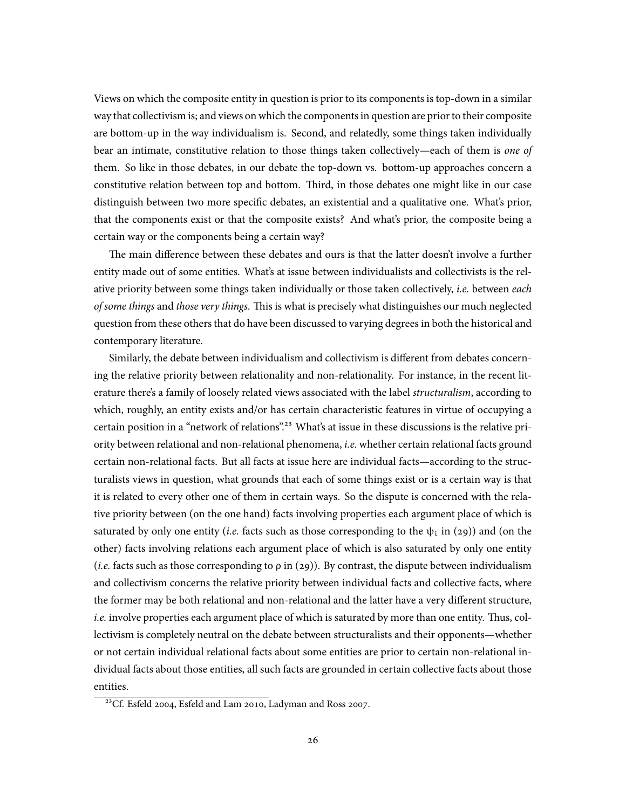Views on which the composite entity in question is prior to its components is top-down in a similar way that collectivism is; and views on which the components in question are prior to their composite are bottom-up in the way individualism is. Second, and relatedly, some things taken individually bear an intimate, constitutive relation to those things taken collectively—each of them is *one of* them. So like in those debates, in our debate the top-down vs. bottom-up approaches concern a constitutive relation between top and bottom. Third, in those debates one might like in our case distinguish between two more specific debates, an existential and a qualitative one. What's prior, that the components exist or that the composite exists? And what's prior, the composite being a certain way or the components being a certain way?

The main difference between these debates and ours is that the latter doesn't involve a further entity made out of some entities. What's at issue between individualists and collectivists is the relative priority between some things taken individually or those taken collectively, *i.e.* between *each of some things* and *those very things*. This is what is precisely what distinguishes our much neglected question from these others that do have been discussed to varying degrees in both the historical and contemporary literature.

Similarly, the debate between individualism and collectivism is different from debates concerning the relative priority between relationality and non-relationality. For instance, in the recent literature there's a family of loosely related views associated with the label *structuralism*, according to which, roughly, an entity exists and/or has certain characteristic features in virtue of occupying a certain position in a "network of relations".<sup>23</sup> What's at issue in these discussions is the relative priority between relational and non-relational phenomena, *i.e.* whether certain relational facts ground certain non-relational facts. But all facts at issue here are individual facts—according to the structuralists views in question, what grounds that each of some things exist or is a certain way is that it is related to every other one of them in certain ways. So the dispute is concerned with the relative priority between (on the one hand) facts involving properties each argument place of which is saturated by only one entity (*i.e.* facts such as those corresponding to the  $\psi_i$  in (29)) and (on the other) facts involving relations each argument place of which is also saturated by only one entity (*i.e.* facts such as those corresponding to ρ in (29)). By contrast, the dispute between individualism and collectivism concerns the relative priority between individual facts and collective facts, where the former may be both relational and non-relational and the latter have a very different structure, *i.e.* involve properties each argument place of which is saturated by more than one entity. Thus, collectivism is completely neutral on the debate between structuralists and their opponents—whether or not certain individual relational facts about some entities are prior to certain non-relational individual facts about those entities, all such facts are grounded in certain collective facts about those entities.

<sup>&</sup>lt;sup>23</sup>Cf. Esfeld 2004, Esfeld and Lam 2010, Ladyman and Ross 2007.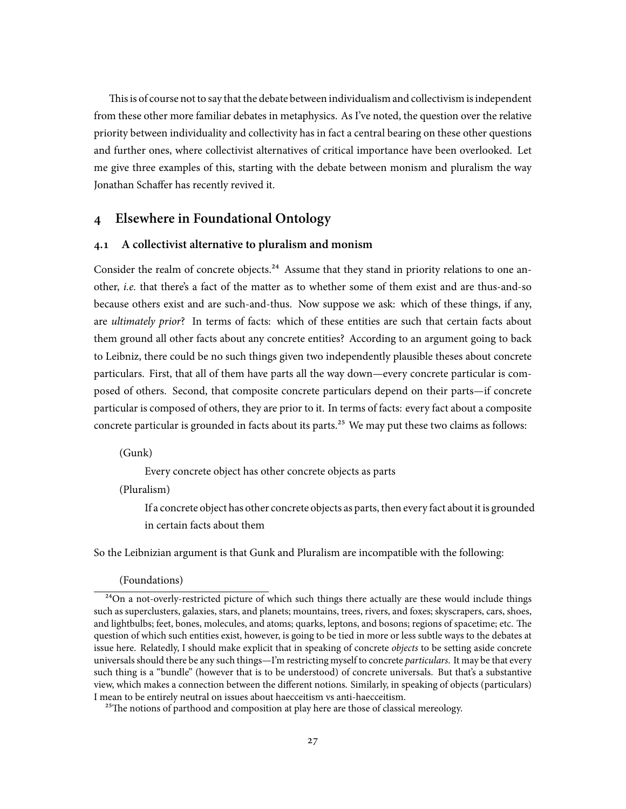This is of course not to say that the debate between individualism and collectivism is independent from these other more familiar debates in metaphysics. As I've noted, the question over the relative priority between individuality and collectivity has in fact a central bearing on these other questions and further ones, where collectivist alternatives of critical importance have been overlooked. Let me give three examples of this, starting with the debate between monism and pluralism the way Jonathan Schaffer has recently revived it.

# **4 Elsewhere in Foundational Ontology**

## **4.1 A collectivist alternative to pluralism and monism**

Consider the realm of concrete objects.<sup>24</sup> Assume that they stand in priority relations to one another, *i.e.* that there's a fact of the matter as to whether some of them exist and are thus-and-so because others exist and are such-and-thus. Now suppose we ask: which of these things, if any, are *ultimately prior*? In terms of facts: which of these entities are such that certain facts about them ground all other facts about any concrete entities? According to an argument going to back to Leibniz, there could be no such things given two independently plausible theses about concrete particulars. First, that all of them have parts all the way down—every concrete particular is composed of others. Second, that composite concrete particulars depend on their parts—if concrete particular is composed of others, they are prior to it. In terms of facts: every fact about a composite concrete particular is grounded in facts about its parts.<sup>25</sup> We may put these two claims as follows:

(Gunk)

Every concrete object has other concrete objects as parts

(Pluralism)

If a concrete object has other concrete objects as parts, then every fact about it is grounded in certain facts about them

So the Leibnizian argument is that Gunk and Pluralism are incompatible with the following:

(Foundations)

 $^{24}$ On a not-overly-restricted picture of which such things there actually are these would include things such as superclusters, galaxies, stars, and planets; mountains, trees, rivers, and foxes; skyscrapers, cars, shoes, and lightbulbs; feet, bones, molecules, and atoms; quarks, leptons, and bosons; regions of spacetime; etc. The question of which such entities exist, however, is going to be tied in more or less subtle ways to the debates at issue here. Relatedly, I should make explicit that in speaking of concrete *objects* to be setting aside concrete universals should there be any such things—I'm restricting myself to concrete *particulars*. It may be that every such thing is a "bundle" (however that is to be understood) of concrete universals. But that's a substantive view, which makes a connection between the different notions. Similarly, in speaking of objects (particulars) I mean to be entirely neutral on issues about haecceitism vs anti-haecceitism.

<sup>&</sup>lt;sup>25</sup>The notions of parthood and composition at play here are those of classical mereology.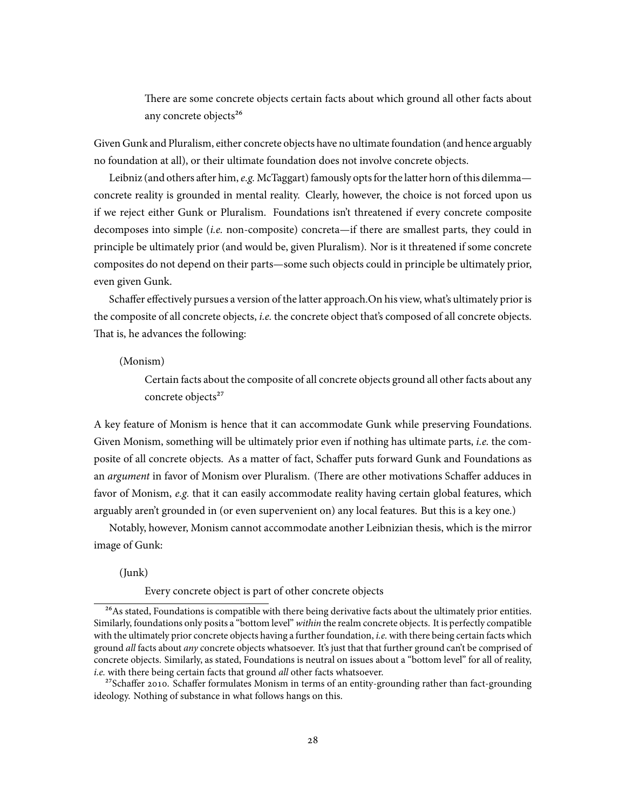There are some concrete objects certain facts about which ground all other facts about any concrete objects<sup>26</sup>

Given Gunk and Pluralism, either concrete objects have no ultimate foundation (and hence arguably no foundation at all), or their ultimate foundation does not involve concrete objects.

Leibniz (and others after him, *e.g.* McTaggart) famously opts for the latter horn of this dilemma concrete reality is grounded in mental reality. Clearly, however, the choice is not forced upon us if we reject either Gunk or Pluralism. Foundations isn't threatened if every concrete composite decomposes into simple (*i.e.* non-composite) concreta—if there are smallest parts, they could in principle be ultimately prior (and would be, given Pluralism). Nor is it threatened if some concrete composites do not depend on their parts—some such objects could in principle be ultimately prior, even given Gunk.

Schaffer effectively pursues a version of the latter approach.On his view, what's ultimately prior is the composite of all concrete objects, *i.e.* the concrete object that's composed of all concrete objects. That is, he advances the following:

(Monism)

Certain facts about the composite of all concrete objects ground all other facts about any concrete objects<sup>27</sup>

A key feature of Monism is hence that it can accommodate Gunk while preserving Foundations. Given Monism, something will be ultimately prior even if nothing has ultimate parts, *i.e.* the composite of all concrete objects. As a matter of fact, Schaffer puts forward Gunk and Foundations as an *argument* in favor of Monism over Pluralism. (There are other motivations Schaffer adduces in favor of Monism, *e.g.* that it can easily accommodate reality having certain global features, which arguably aren't grounded in (or even supervenient on) any local features. But this is a key one.)

Notably, however, Monism cannot accommodate another Leibnizian thesis, which is the mirror image of Gunk:

(Junk)

Every concrete object is part of other concrete objects

<sup>&</sup>lt;sup>26</sup>As stated, Foundations is compatible with there being derivative facts about the ultimately prior entities. Similarly, foundations only posits a "bottom level" *within* the realm concrete objects. It is perfectly compatible with the ultimately prior concrete objects having a further foundation, *i.e.* with there being certain facts which ground *all* facts about *any* concrete objects whatsoever. It's just that that further ground can't be comprised of concrete objects. Similarly, as stated, Foundations is neutral on issues about a "bottom level" for all of reality, *i.e.* with there being certain facts that ground *all* other facts whatsoever.

 $^{27}$ Schaffer 2010. Schaffer formulates Monism in terms of an entity-grounding rather than fact-grounding ideology. Nothing of substance in what follows hangs on this.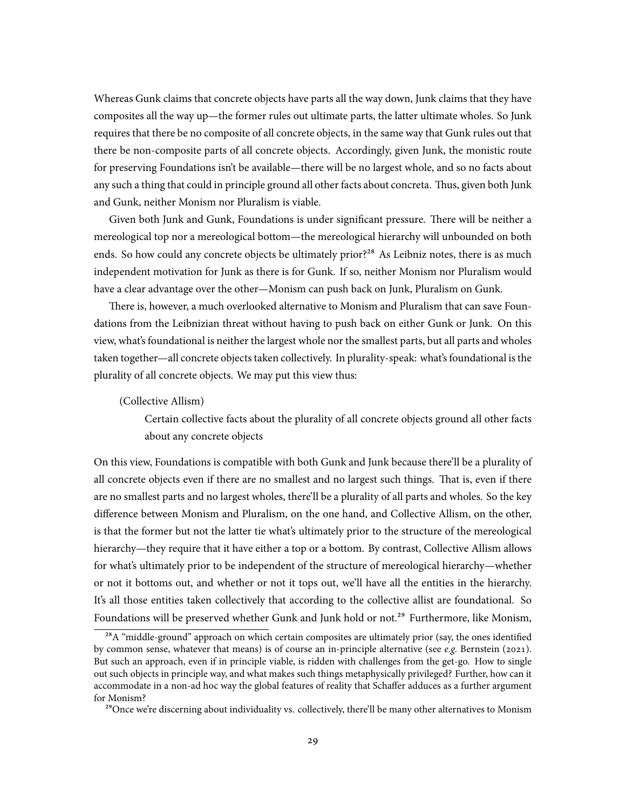Whereas Gunk claims that concrete objects have parts all the way down, Junk claims that they have composites all the way up—the former rules out ultimate parts, the latter ultimate wholes. So Junk requires that there be no composite of all concrete objects, in the same way that Gunk rules out that there be non-composite parts of all concrete objects. Accordingly, given Junk, the monistic route for preserving Foundations isn't be available—there will be no largest whole, and so no facts about any such a thing that could in principle ground all other facts about concreta. Thus, given both Junk and Gunk, neither Monism nor Pluralism is viable.

Given both Junk and Gunk, Foundations is under significant pressure. There will be neither a mereological top nor a mereological bottom—the mereological hierarchy will unbounded on both ends. So how could any concrete objects be ultimately prior?<sup>28</sup> As Leibniz notes, there is as much independent motivation for Junk as there is for Gunk. If so, neither Monism nor Pluralism would have a clear advantage over the other—Monism can push back on Junk, Pluralism on Gunk.

There is, however, a much overlooked alternative to Monism and Pluralism that can save Foundations from the Leibnizian threat without having to push back on either Gunk or Junk. On this view, what's foundational is neither the largest whole nor the smallest parts, but all parts and wholes taken together—all concrete objects taken collectively. In plurality-speak: what's foundational is the plurality of all concrete objects. We may put this view thus:

#### (Collective Allism)

Certain collective facts about the plurality of all concrete objects ground all other facts about any concrete objects

On this view, Foundations is compatible with both Gunk and Junk because there'll be a plurality of all concrete objects even if there are no smallest and no largest such things. That is, even if there are no smallest parts and no largest wholes, there'll be a plurality of all parts and wholes. So the key difference between Monism and Pluralism, on the one hand, and Collective Allism, on the other, is that the former but not the latter tie what's ultimately prior to the structure of the mereological hierarchy—they require that it have either a top or a bottom. By contrast, Collective Allism allows for what's ultimately prior to be independent of the structure of mereological hierarchy—whether or not it bottoms out, and whether or not it tops out, we'll have all the entities in the hierarchy. It's all those entities taken collectively that according to the collective allist are foundational. So Foundations will be preserved whether Gunk and Junk hold or not.<sup>29</sup> Furthermore, like Monism,

<sup>&</sup>lt;sup>28</sup>A "middle-ground" approach on which certain composites are ultimately prior (say, the ones identified by common sense, whatever that means) is of course an in-principle alternative (see *e.g.* Bernstein (2021). But such an approach, even if in principle viable, is ridden with challenges from the get-go. How to single out such objects in principle way, and what makes such things metaphysically privileged? Further, how can it accommodate in a non-ad hoc way the global features of reality that Schaffer adduces as a further argument for Monism?

<sup>&</sup>lt;sup>29</sup>Once we're discerning about individuality vs. collectively, there'll be many other alternatives to Monism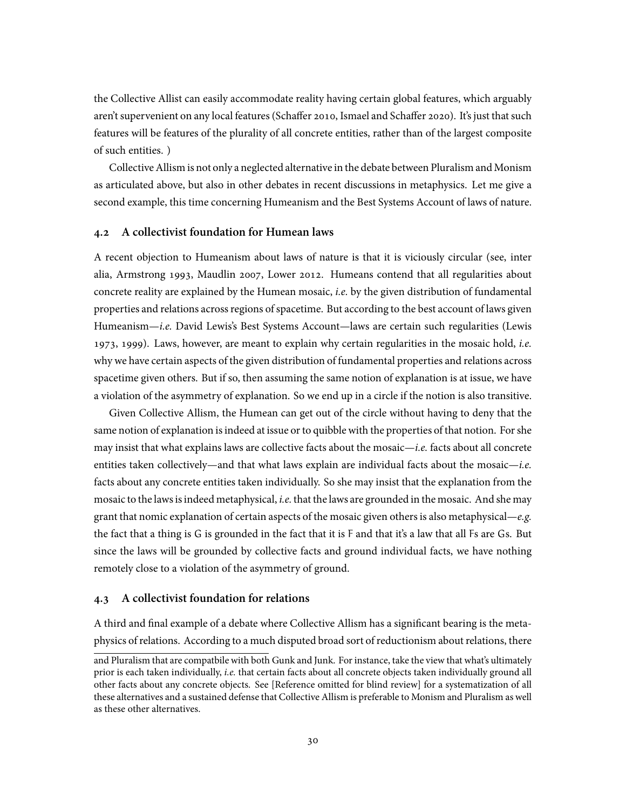the Collective Allist can easily accommodate reality having certain global features, which arguably aren't supervenient on any local features (Schaffer 2010, Ismael and Schaffer 2020). It's just that such features will be features of the plurality of all concrete entities, rather than of the largest composite of such entities. )

Collective Allism is not only a neglected alternative in the debate between Pluralism and Monism as articulated above, but also in other debates in recent discussions in metaphysics. Let me give a second example, this time concerning Humeanism and the Best Systems Account of laws of nature.

### **4.2 A collectivist foundation for Humean laws**

A recent objection to Humeanism about laws of nature is that it is viciously circular (see, inter alia, Armstrong 1993, Maudlin 2007, Lower 2012. Humeans contend that all regularities about concrete reality are explained by the Humean mosaic, *i.e.* by the given distribution of fundamental properties and relations across regions of spacetime. But according to the best account of laws given Humeanism—*i.e.* David Lewis's Best Systems Account—laws are certain such regularities (Lewis 1973, 1999). Laws, however, are meant to explain why certain regularities in the mosaic hold, *i.e.* why we have certain aspects of the given distribution of fundamental properties and relations across spacetime given others. But if so, then assuming the same notion of explanation is at issue, we have a violation of the asymmetry of explanation. So we end up in a circle if the notion is also transitive.

Given Collective Allism, the Humean can get out of the circle without having to deny that the same notion of explanation is indeed at issue or to quibble with the properties of that notion. For she may insist that what explains laws are collective facts about the mosaic—*i.e.* facts about all concrete entities taken collectively—and that what laws explain are individual facts about the mosaic—*i.e.* facts about any concrete entities taken individually. So she may insist that the explanation from the mosaic to the laws is indeed metaphysical, *i.e.* that the laws are grounded in the mosaic. And she may grant that nomic explanation of certain aspects of the mosaic given others is also metaphysical—*e.g.* the fact that a thing is G is grounded in the fact that it is F and that it's a law that all Fs are Gs. But since the laws will be grounded by collective facts and ground individual facts, we have nothing remotely close to a violation of the asymmetry of ground.

## **4.3 A collectivist foundation for relations**

A third and final example of a debate where Collective Allism has a significant bearing is the metaphysics of relations. According to a much disputed broad sort of reductionism about relations, there

and Pluralism that are compatbile with both Gunk and Junk. For instance, take the view that what's ultimately prior is each taken individually, *i.e.* that certain facts about all concrete objects taken individually ground all other facts about any concrete objects. See [Reference omitted for blind review] for a systematization of all these alternatives and a sustained defense that Collective Allism is preferable to Monism and Pluralism as well as these other alternatives.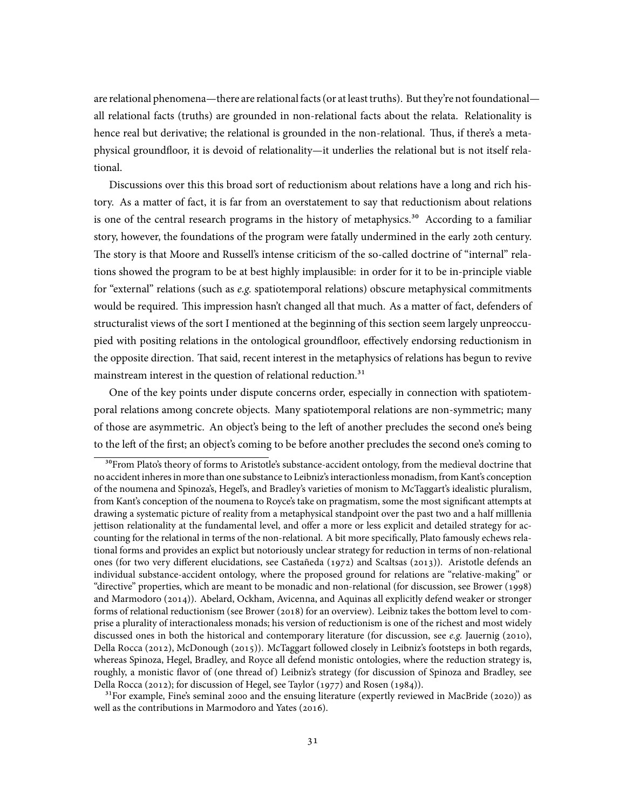are relational phenomena—there are relational facts (or at least truths). But they're not foundational all relational facts (truths) are grounded in non-relational facts about the relata. Relationality is hence real but derivative; the relational is grounded in the non-relational. Thus, if there's a metaphysical groundfloor, it is devoid of relationality—it underlies the relational but is not itself relational.

Discussions over this this broad sort of reductionism about relations have a long and rich history. As a matter of fact, it is far from an overstatement to say that reductionism about relations is one of the central research programs in the history of metaphysics. $30$  According to a familiar story, however, the foundations of the program were fatally undermined in the early 20th century. The story is that Moore and Russell's intense criticism of the so-called doctrine of "internal" relations showed the program to be at best highly implausible: in order for it to be in-principle viable for "external" relations (such as *e.g.* spatiotemporal relations) obscure metaphysical commitments would be required. This impression hasn't changed all that much. As a matter of fact, defenders of structuralist views of the sort I mentioned at the beginning of this section seem largely unpreoccupied with positing relations in the ontological groundfloor, effectively endorsing reductionism in the opposite direction. That said, recent interest in the metaphysics of relations has begun to revive mainstream interest in the question of relational reduction.<sup>31</sup>

One of the key points under dispute concerns order, especially in connection with spatiotemporal relations among concrete objects. Many spatiotemporal relations are non-symmetric; many of those are asymmetric. An object's being to the left of another precludes the second one's being to the left of the first; an object's coming to be before another precludes the second one's coming to

 $31$ For example, Fine's seminal 2000 and the ensuing literature (expertly reviewed in MacBride (2020)) as well as the contributions in Marmodoro and Yates (2016).

<sup>&</sup>lt;sup>30</sup>From Plato's theory of forms to Aristotle's substance-accident ontology, from the medieval doctrine that no accident inheres in more than one substance to Leibniz's interactionless monadism, from Kant's conception of the noumena and Spinoza's, Hegel's, and Bradley's varieties of monism to McTaggart's idealistic pluralism, from Kant's conception of the noumena to Royce's take on pragmatism, some the most significant attempts at drawing a systematic picture of reality from a metaphysical standpoint over the past two and a half milllenia jettison relationality at the fundamental level, and offer a more or less explicit and detailed strategy for accounting for the relational in terms of the non-relational. A bit more specifically, Plato famously echews relational forms and provides an explict but notoriously unclear strategy for reduction in terms of non-relational ones (for two very different elucidations, see Castañeda (1972) and Scaltsas (2013)). Aristotle defends an individual substance-accident ontology, where the proposed ground for relations are "relative-making" or "directive" properties, which are meant to be monadic and non-relational (for discussion, see Brower (1998) and Marmodoro (2014)). Abelard, Ockham, Avicenna, and Aquinas all explicitly defend weaker or stronger forms of relational reductionism (see Brower (2018) for an overview). Leibniz takes the bottom level to comprise a plurality of interactionaless monads; his version of reductionism is one of the richest and most widely discussed ones in both the historical and contemporary literature (for discussion, see *e.g.* Jauernig (2010), Della Rocca (2012), McDonough (2015)). McTaggart followed closely in Leibniz's footsteps in both regards, whereas Spinoza, Hegel, Bradley, and Royce all defend monistic ontologies, where the reduction strategy is, roughly, a monistic flavor of (one thread of) Leibniz's strategy (for discussion of Spinoza and Bradley, see Della Rocca (2012); for discussion of Hegel, see Taylor (1977) and Rosen (1984)).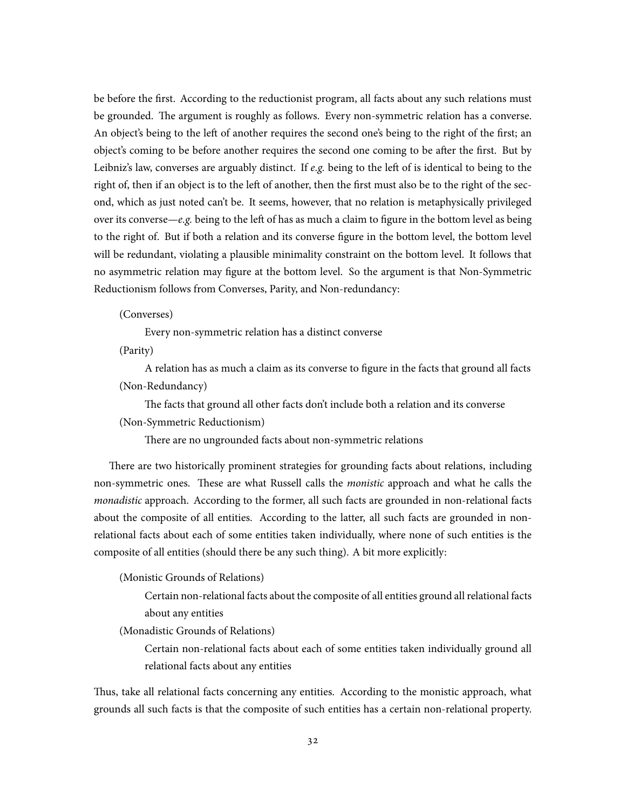be before the first. According to the reductionist program, all facts about any such relations must be grounded. The argument is roughly as follows. Every non-symmetric relation has a converse. An object's being to the left of another requires the second one's being to the right of the first; an object's coming to be before another requires the second one coming to be after the first. But by Leibniz's law, converses are arguably distinct. If *e.g.* being to the left of is identical to being to the right of, then if an object is to the left of another, then the first must also be to the right of the second, which as just noted can't be. It seems, however, that no relation is metaphysically privileged over its converse—*e.g.* being to the left of has as much a claim to figure in the bottom level as being to the right of. But if both a relation and its converse figure in the bottom level, the bottom level will be redundant, violating a plausible minimality constraint on the bottom level. It follows that no asymmetric relation may figure at the bottom level. So the argument is that Non-Symmetric Reductionism follows from Converses, Parity, and Non-redundancy:

### (Converses)

Every non-symmetric relation has a distinct converse

(Parity)

A relation has as much a claim as its converse to figure in the facts that ground all facts (Non-Redundancy)

The facts that ground all other facts don't include both a relation and its converse

(Non-Symmetric Reductionism)

There are no ungrounded facts about non-symmetric relations

There are two historically prominent strategies for grounding facts about relations, including non-symmetric ones. These are what Russell calls the *monistic* approach and what he calls the *monadistic* approach. According to the former, all such facts are grounded in non-relational facts about the composite of all entities. According to the latter, all such facts are grounded in nonrelational facts about each of some entities taken individually, where none of such entities is the composite of all entities (should there be any such thing). A bit more explicitly:

(Monistic Grounds of Relations)

Certain non-relational facts about the composite of all entities ground all relational facts about any entities

(Monadistic Grounds of Relations)

Certain non-relational facts about each of some entities taken individually ground all relational facts about any entities

Thus, take all relational facts concerning any entities. According to the monistic approach, what grounds all such facts is that the composite of such entities has a certain non-relational property.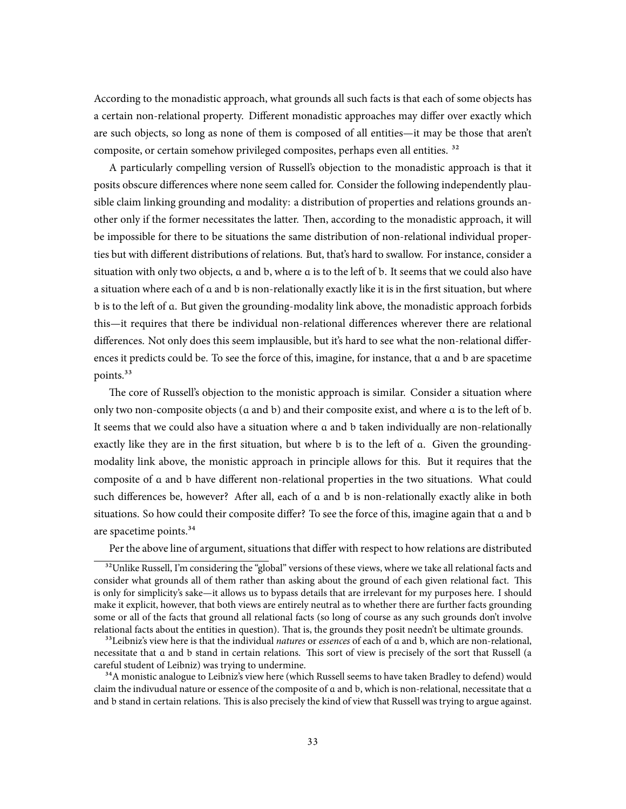According to the monadistic approach, what grounds all such facts is that each of some objects has a certain non-relational property. Different monadistic approaches may differ over exactly which are such objects, so long as none of them is composed of all entities—it may be those that aren't composite, or certain somehow privileged composites, perhaps even all entities.<sup>32</sup>

A particularly compelling version of Russell's objection to the monadistic approach is that it posits obscure differences where none seem called for. Consider the following independently plausible claim linking grounding and modality: a distribution of properties and relations grounds another only if the former necessitates the latter. Then, according to the monadistic approach, it will be impossible for there to be situations the same distribution of non-relational individual properties but with different distributions of relations. But, that's hard to swallow. For instance, consider a situation with only two objects, a and b, where a is to the left of b. It seems that we could also have a situation where each of a and b is non-relationally exactly like it is in the first situation, but where b is to the left of a. But given the grounding-modality link above, the monadistic approach forbids this—it requires that there be individual non-relational differences wherever there are relational differences. Not only does this seem implausible, but it's hard to see what the non-relational differences it predicts could be. To see the force of this, imagine, for instance, that a and b are spacetime points.<sup>33</sup>

The core of Russell's objection to the monistic approach is similar. Consider a situation where only two non-composite objects (a and b) and their composite exist, and where a is to the left of b. It seems that we could also have a situation where a and b taken individually are non-relationally exactly like they are in the first situation, but where b is to the left of a. Given the groundingmodality link above, the monistic approach in principle allows for this. But it requires that the composite of a and b have different non-relational properties in the two situations. What could such differences be, however? After all, each of a and b is non-relationally exactly alike in both situations. So how could their composite differ? To see the force of this, imagine again that a and b are spacetime points.<sup>34</sup>

Per the above line of argument, situations that differ with respect to how relations are distributed

<sup>&</sup>lt;sup>32</sup>Unlike Russell, I'm considering the "global" versions of these views, where we take all relational facts and consider what grounds all of them rather than asking about the ground of each given relational fact. This is only for simplicity's sake—it allows us to bypass details that are irrelevant for my purposes here. I should make it explicit, however, that both views are entirely neutral as to whether there are further facts grounding some or all of the facts that ground all relational facts (so long of course as any such grounds don't involve relational facts about the entities in question). That is, the grounds they posit needn't be ultimate grounds.

³³Leibniz's view here is that the individual *natures* or *essences* of each of a and b, which are non-relational, necessitate that a and b stand in certain relations. This sort of view is precisely of the sort that Russell (a careful student of Leibniz) was trying to undermine.

<sup>&</sup>lt;sup>34</sup>A monistic analogue to Leibniz's view here (which Russell seems to have taken Bradley to defend) would claim the indivudual nature or essence of the composite of a and b, which is non-relational, necessitate that a and b stand in certain relations. This is also precisely the kind of view that Russell was trying to argue against.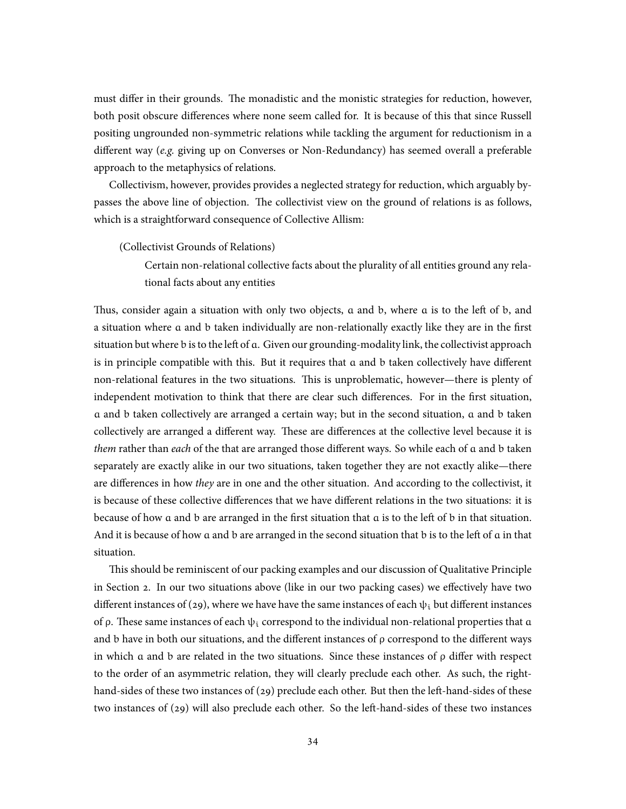must differ in their grounds. The monadistic and the monistic strategies for reduction, however, both posit obscure differences where none seem called for. It is because of this that since Russell positing ungrounded non-symmetric relations while tackling the argument for reductionism in a different way (*e.g.* giving up on Converses or Non-Redundancy) has seemed overall a preferable approach to the metaphysics of relations.

Collectivism, however, provides provides a neglected strategy for reduction, which arguably bypasses the above line of objection. The collectivist view on the ground of relations is as follows, which is a straightforward consequence of Collective Allism:

(Collectivist Grounds of Relations)

Certain non-relational collective facts about the plurality of all entities ground any relational facts about any entities

Thus, consider again a situation with only two objects, a and b, where a is to the left of b, and a situation where a and b taken individually are non-relationally exactly like they are in the first situation but where b is to the left of a. Given our grounding-modality link, the collectivist approach is in principle compatible with this. But it requires that a and b taken collectively have different non-relational features in the two situations. This is unproblematic, however—there is plenty of independent motivation to think that there are clear such differences. For in the first situation, a and b taken collectively are arranged a certain way; but in the second situation, a and b taken collectively are arranged a different way. These are differences at the collective level because it is *them* rather than *each* of the that are arranged those different ways. So while each of a and b taken separately are exactly alike in our two situations, taken together they are not exactly alike—there are differences in how *they* are in one and the other situation. And according to the collectivist, it is because of these collective differences that we have different relations in the two situations: it is because of how a and b are arranged in the first situation that a is to the left of b in that situation. And it is because of how a and b are arranged in the second situation that b is to the left of a in that situation.

This should be reminiscent of our packing examples and our discussion of Qualitative Principle in Section 2. In our two situations above (like in our two packing cases) we effectively have two different instances of (29), where we have have the same instances of each  $\psi_i$  but different instances of ρ. These same instances of each  $ψ_1$  correspond to the individual non-relational properties that  $α$ and b have in both our situations, and the different instances of  $\rho$  correspond to the different ways in which a and b are related in the two situations. Since these instances of  $\rho$  differ with respect to the order of an asymmetric relation, they will clearly preclude each other. As such, the righthand-sides of these two instances of (29) preclude each other. But then the left-hand-sides of these two instances of (29) will also preclude each other. So the left-hand-sides of these two instances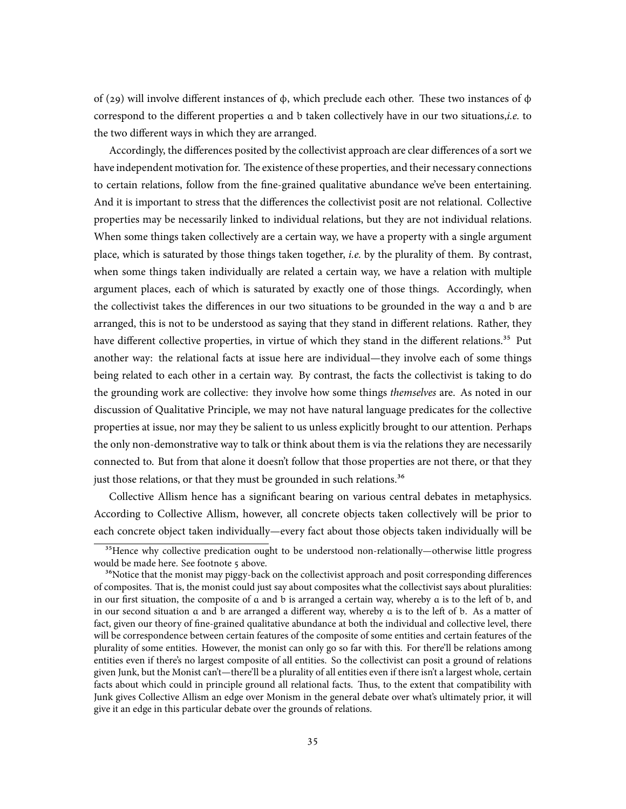of (29) will involve different instances of ϕ, which preclude each other. These two instances of ϕ correspond to the different properties a and b taken collectively have in our two situations,*i.e.* to the two different ways in which they are arranged.

Accordingly, the differences posited by the collectivist approach are clear differences of a sort we have independent motivation for. The existence of these properties, and their necessary connections to certain relations, follow from the fine-grained qualitative abundance we've been entertaining. And it is important to stress that the differences the collectivist posit are not relational. Collective properties may be necessarily linked to individual relations, but they are not individual relations. When some things taken collectively are a certain way, we have a property with a single argument place, which is saturated by those things taken together, *i.e.* by the plurality of them. By contrast, when some things taken individually are related a certain way, we have a relation with multiple argument places, each of which is saturated by exactly one of those things. Accordingly, when the collectivist takes the differences in our two situations to be grounded in the way a and b are arranged, this is not to be understood as saying that they stand in different relations. Rather, they have different collective properties, in virtue of which they stand in the different relations.<sup>35</sup> Put another way: the relational facts at issue here are individual—they involve each of some things being related to each other in a certain way. By contrast, the facts the collectivist is taking to do the grounding work are collective: they involve how some things *themselves* are. As noted in our discussion of Qualitative Principle, we may not have natural language predicates for the collective properties at issue, nor may they be salient to us unless explicitly brought to our attention. Perhaps the only non-demonstrative way to talk or think about them is via the relations they are necessarily connected to. But from that alone it doesn't follow that those properties are not there, or that they just those relations, or that they must be grounded in such relations.<sup>36</sup>

Collective Allism hence has a significant bearing on various central debates in metaphysics. According to Collective Allism, however, all concrete objects taken collectively will be prior to each concrete object taken individually—every fact about those objects taken individually will be

<sup>&</sup>lt;sup>35</sup>Hence why collective predication ought to be understood non-relationally—otherwise little progress would be made here. See footnote 5 above.

<sup>&</sup>lt;sup>36</sup>Notice that the monist may piggy-back on the collectivist approach and posit corresponding differences of composites. That is, the monist could just say about composites what the collectivist says about pluralities: in our first situation, the composite of a and b is arranged a certain way, whereby a is to the left of b, and in our second situation a and b are arranged a different way, whereby a is to the left of b. As a matter of fact, given our theory of fine-grained qualitative abundance at both the individual and collective level, there will be correspondence between certain features of the composite of some entities and certain features of the plurality of some entities. However, the monist can only go so far with this. For there'll be relations among entities even if there's no largest composite of all entities. So the collectivist can posit a ground of relations given Junk, but the Monist can't—there'll be a plurality of all entities even if there isn't a largest whole, certain facts about which could in principle ground all relational facts. Thus, to the extent that compatibility with Junk gives Collective Allism an edge over Monism in the general debate over what's ultimately prior, it will give it an edge in this particular debate over the grounds of relations.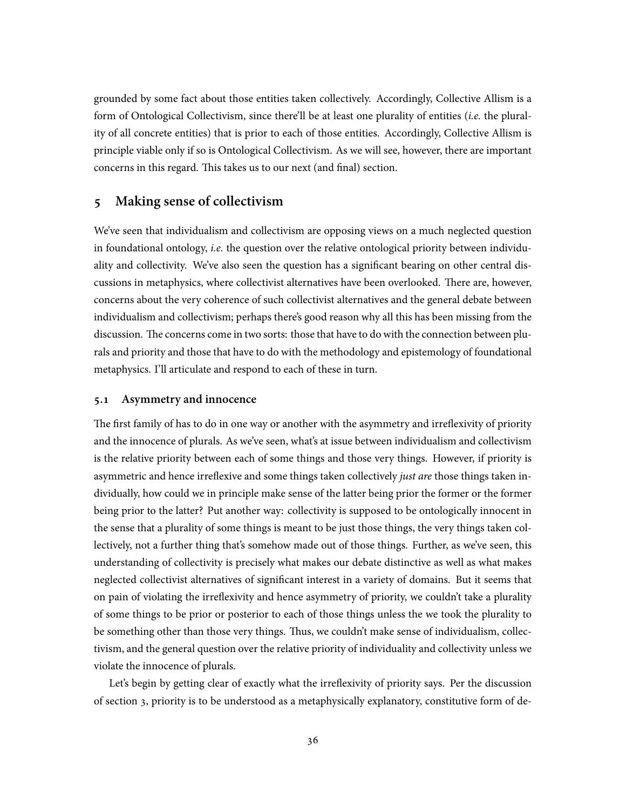grounded by some fact about those entities taken collectively. Accordingly, Collective Allism is a form of Ontological Collectivism, since there'll be at least one plurality of entities (*i.e.* the plurality of all concrete entities) that is prior to each of those entities. Accordingly, Collective Allism is principle viable only if so is Ontological Collectivism. As we will see, however, there are important concerns in this regard. This takes us to our next (and final) section.

# **5 Making sense of collectivism**

We've seen that individualism and collectivism are opposing views on a much neglected question in foundational ontology, *i.e.* the question over the relative ontological priority between individuality and collectivity. We've also seen the question has a significant bearing on other central discussions in metaphysics, where collectivist alternatives have been overlooked. There are, however, concerns about the very coherence of such collectivist alternatives and the general debate between individualism and collectivism; perhaps there's good reason why all this has been missing from the discussion. The concerns come in two sorts: those that have to do with the connection between plurals and priority and those that have to do with the methodology and epistemology of foundational metaphysics. I'll articulate and respond to each of these in turn.

## **5.1 Asymmetry and innocence**

The first family of has to do in one way or another with the asymmetry and irreflexivity of priority and the innocence of plurals. As we've seen, what's at issue between individualism and collectivism is the relative priority between each of some things and those very things. However, if priority is asymmetric and hence irreflexive and some things taken collectively *just are* those things taken individually, how could we in principle make sense of the latter being prior the former or the former being prior to the latter? Put another way: collectivity is supposed to be ontologically innocent in the sense that a plurality of some things is meant to be just those things, the very things taken collectively, not a further thing that's somehow made out of those things. Further, as we've seen, this understanding of collectivity is precisely what makes our debate distinctive as well as what makes neglected collectivist alternatives of significant interest in a variety of domains. But it seems that on pain of violating the irreflexivity and hence asymmetry of priority, we couldn't take a plurality of some things to be prior or posterior to each of those things unless the we took the plurality to be something other than those very things. Thus, we couldn't make sense of individualism, collectivism, and the general question over the relative priority of individuality and collectivity unless we violate the innocence of plurals.

Let's begin by getting clear of exactly what the irreflexivity of priority says. Per the discussion of section 3, priority is to be understood as a metaphysically explanatory, constitutive form of de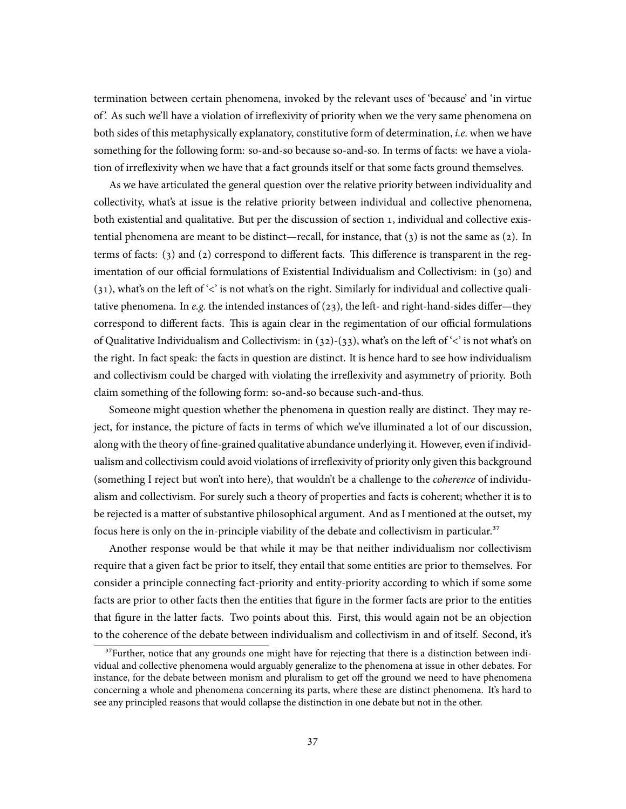termination between certain phenomena, invoked by the relevant uses of 'because' and 'in virtue of '. As such we'll have a violation of irreflexivity of priority when we the very same phenomena on both sides of this metaphysically explanatory, constitutive form of determination, *i.e.* when we have something for the following form: so-and-so because so-and-so. In terms of facts: we have a violation of irreflexivity when we have that a fact grounds itself or that some facts ground themselves.

As we have articulated the general question over the relative priority between individuality and collectivity, what's at issue is the relative priority between individual and collective phenomena, both existential and qualitative. But per the discussion of section 1, individual and collective existential phenomena are meant to be distinct—recall, for instance, that (3) is not the same as (2). In terms of facts: (3) and (2) correspond to different facts. This difference is transparent in the regimentation of our official formulations of Existential Individualism and Collectivism: in (30) and (31), what's on the left of '<' is not what's on the right. Similarly for individual and collective qualitative phenomena. In *e.g.* the intended instances of  $(23)$ , the left- and right-hand-sides differ—they correspond to different facts. This is again clear in the regimentation of our official formulations of Qualitative Individualism and Collectivism: in (32)-(33), what's on the left of '<' is not what's on the right. In fact speak: the facts in question are distinct. It is hence hard to see how individualism and collectivism could be charged with violating the irreflexivity and asymmetry of priority. Both claim something of the following form: so-and-so because such-and-thus.

Someone might question whether the phenomena in question really are distinct. They may reject, for instance, the picture of facts in terms of which we've illuminated a lot of our discussion, along with the theory of fine-grained qualitative abundance underlying it. However, even if individualism and collectivism could avoid violations of irreflexivity of priority only given this background (something I reject but won't into here), that wouldn't be a challenge to the *coherence* of individualism and collectivism. For surely such a theory of properties and facts is coherent; whether it is to be rejected is a matter of substantive philosophical argument. And as I mentioned at the outset, my focus here is only on the in-principle viability of the debate and collectivism in particular.<sup>37</sup>

Another response would be that while it may be that neither individualism nor collectivism require that a given fact be prior to itself, they entail that some entities are prior to themselves. For consider a principle connecting fact-priority and entity-priority according to which if some some facts are prior to other facts then the entities that figure in the former facts are prior to the entities that figure in the latter facts. Two points about this. First, this would again not be an objection to the coherence of the debate between individualism and collectivism in and of itself. Second, it's

 $3^3$ Further, notice that any grounds one might have for rejecting that there is a distinction between individual and collective phenomena would arguably generalize to the phenomena at issue in other debates. For instance, for the debate between monism and pluralism to get off the ground we need to have phenomena concerning a whole and phenomena concerning its parts, where these are distinct phenomena. It's hard to see any principled reasons that would collapse the distinction in one debate but not in the other.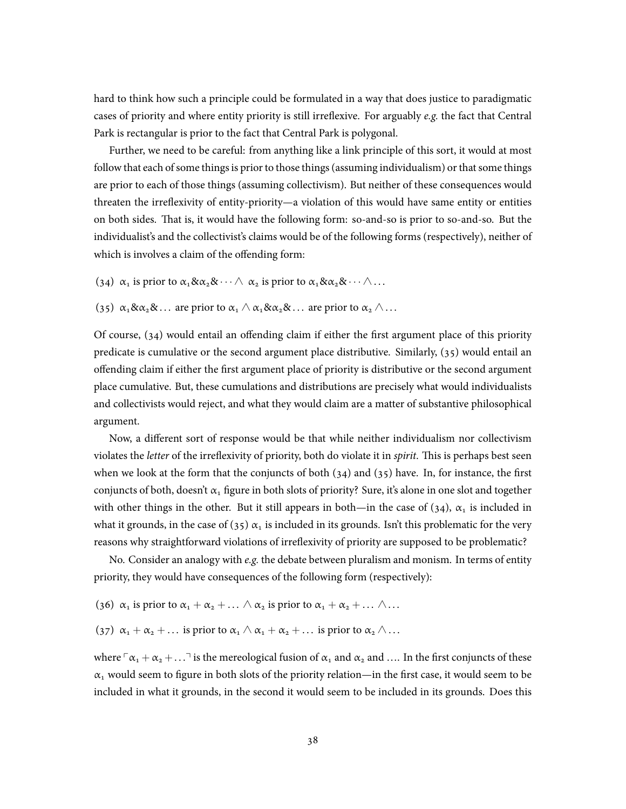hard to think how such a principle could be formulated in a way that does justice to paradigmatic cases of priority and where entity priority is still irreflexive. For arguably *e.g.* the fact that Central Park is rectangular is prior to the fact that Central Park is polygonal.

Further, we need to be careful: from anything like a link principle of this sort, it would at most follow that each of some things is prior to those things (assuming individualism) or that some things are prior to each of those things (assuming collectivism). But neither of these consequences would threaten the irreflexivity of entity-priority—a violation of this would have same entity or entities on both sides. That is, it would have the following form: so-and-so is prior to so-and-so. But the individualist's and the collectivist's claims would be of the following forms (respectively), neither of which is involves a claim of the offending form:

- (34)  $\alpha_1$  is prior to  $\alpha_1 \& \alpha_2 \& \cdots \wedge \alpha_2$  is prior to  $\alpha_1 \& \alpha_2 \& \cdots \wedge \ldots$
- (35)  $\alpha_1 \& \alpha_2 \& \dots$  are prior to  $\alpha_1 \wedge \alpha_1 \& \alpha_2 \& \dots$  are prior to  $\alpha_2 \wedge \dots$

Of course, (34) would entail an offending claim if either the first argument place of this priority predicate is cumulative or the second argument place distributive. Similarly, (35) would entail an offending claim if either the first argument place of priority is distributive or the second argument place cumulative. But, these cumulations and distributions are precisely what would individualists and collectivists would reject, and what they would claim are a matter of substantive philosophical argument.

Now, a different sort of response would be that while neither individualism nor collectivism violates the *letter* of the irreflexivity of priority, both do violate it in *spirit*. This is perhaps best seen when we look at the form that the conjuncts of both  $(34)$  and  $(35)$  have. In, for instance, the first conjuncts of both, doesn't  $\alpha_1$  figure in both slots of priority? Sure, it's alone in one slot and together with other things in the other. But it still appears in both—in the case of (34),  $\alpha_1$  is included in what it grounds, in the case of (35)  $\alpha_1$  is included in its grounds. Isn't this problematic for the very reasons why straightforward violations of irreflexivity of priority are supposed to be problematic?

No. Consider an analogy with *e.g.* the debate between pluralism and monism. In terms of entity priority, they would have consequences of the following form (respectively):

- (36)  $\alpha_1$  is prior to  $\alpha_1 + \alpha_2 + \ldots \wedge \alpha_2$  is prior to  $\alpha_1 + \alpha_2 + \ldots \wedge \ldots$
- (37)  $\alpha_1 + \alpha_2 + \dots$  is prior to  $\alpha_1 \wedge \alpha_1 + \alpha_2 + \dots$  is prior to  $\alpha_2 \wedge \dots$

where  $\lceil \alpha_1 + \alpha_2 + \ldots \rceil$  is the mereological fusion of  $\alpha_1$  and  $\alpha_2$  and  $\ldots$  In the first conjuncts of these  $\alpha_1$  would seem to figure in both slots of the priority relation—in the first case, it would seem to be included in what it grounds, in the second it would seem to be included in its grounds. Does this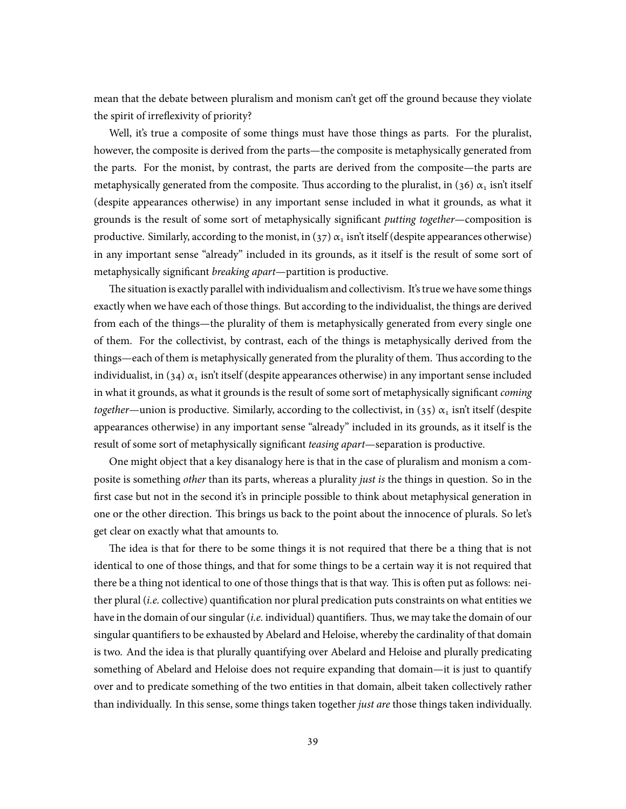mean that the debate between pluralism and monism can't get off the ground because they violate the spirit of irreflexivity of priority?

Well, it's true a composite of some things must have those things as parts. For the pluralist, however, the composite is derived from the parts—the composite is metaphysically generated from the parts. For the monist, by contrast, the parts are derived from the composite—the parts are metaphysically generated from the composite. Thus according to the pluralist, in (36)  $\alpha_1$  isn't itself (despite appearances otherwise) in any important sense included in what it grounds, as what it grounds is the result of some sort of metaphysically significant *putting together*—composition is productive. Similarly, according to the monist, in (37)  $\alpha_1$  isn't itself (despite appearances otherwise) in any important sense "already" included in its grounds, as it itself is the result of some sort of metaphysically significant *breaking apart*—partition is productive.

The situation is exactly parallel with individualism and collectivism. It's true we have some things exactly when we have each of those things. But according to the individualist, the things are derived from each of the things—the plurality of them is metaphysically generated from every single one of them. For the collectivist, by contrast, each of the things is metaphysically derived from the things—each of them is metaphysically generated from the plurality of them. Thus according to the individualist, in (34)  $\alpha_1$  isn't itself (despite appearances otherwise) in any important sense included in what it grounds, as what it grounds is the result of some sort of metaphysically significant *coming together*—union is productive. Similarly, according to the collectivist, in (35)  $\alpha_1$  isn't itself (despite appearances otherwise) in any important sense "already" included in its grounds, as it itself is the result of some sort of metaphysically significant *teasing apart*—separation is productive.

One might object that a key disanalogy here is that in the case of pluralism and monism a composite is something *other* than its parts, whereas a plurality *just is* the things in question. So in the first case but not in the second it's in principle possible to think about metaphysical generation in one or the other direction. This brings us back to the point about the innocence of plurals. So let's get clear on exactly what that amounts to.

The idea is that for there to be some things it is not required that there be a thing that is not identical to one of those things, and that for some things to be a certain way it is not required that there be a thing not identical to one of those things that is that way. This is often put as follows: neither plural (*i.e.* collective) quantification nor plural predication puts constraints on what entities we have in the domain of our singular (*i.e.* individual) quantifiers. Thus, we may take the domain of our singular quantifiers to be exhausted by Abelard and Heloise, whereby the cardinality of that domain is two. And the idea is that plurally quantifying over Abelard and Heloise and plurally predicating something of Abelard and Heloise does not require expanding that domain—it is just to quantify over and to predicate something of the two entities in that domain, albeit taken collectively rather than individually. In this sense, some things taken together *just are* those things taken individually.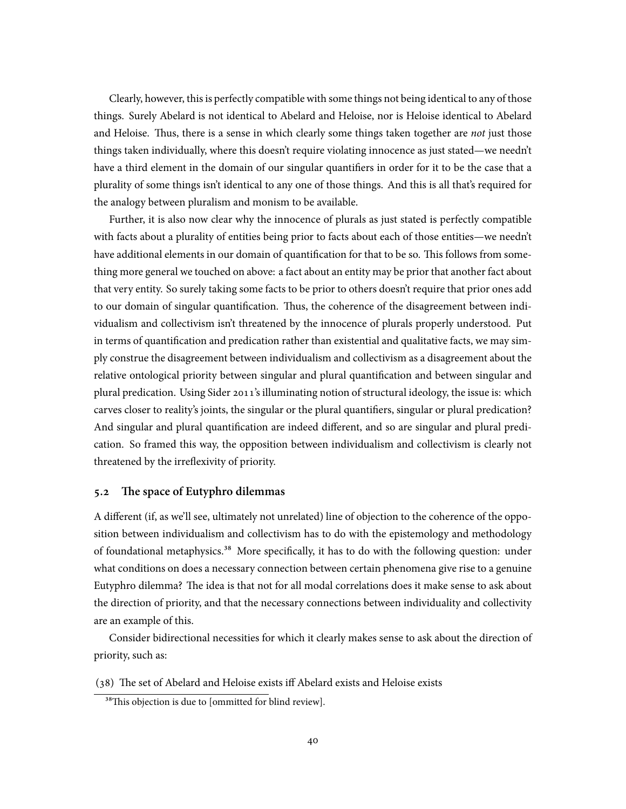Clearly, however, this is perfectly compatible with some things not being identical to any of those things. Surely Abelard is not identical to Abelard and Heloise, nor is Heloise identical to Abelard and Heloise. Thus, there is a sense in which clearly some things taken together are *not* just those things taken individually, where this doesn't require violating innocence as just stated—we needn't have a third element in the domain of our singular quantifiers in order for it to be the case that a plurality of some things isn't identical to any one of those things. And this is all that's required for the analogy between pluralism and monism to be available.

Further, it is also now clear why the innocence of plurals as just stated is perfectly compatible with facts about a plurality of entities being prior to facts about each of those entities—we needn't have additional elements in our domain of quantification for that to be so. This follows from something more general we touched on above: a fact about an entity may be prior that another fact about that very entity. So surely taking some facts to be prior to others doesn't require that prior ones add to our domain of singular quantification. Thus, the coherence of the disagreement between individualism and collectivism isn't threatened by the innocence of plurals properly understood. Put in terms of quantification and predication rather than existential and qualitative facts, we may simply construe the disagreement between individualism and collectivism as a disagreement about the relative ontological priority between singular and plural quantification and between singular and plural predication. Using Sider 2011's illuminating notion of structural ideology, the issue is: which carves closer to reality's joints, the singular or the plural quantifiers, singular or plural predication? And singular and plural quantification are indeed different, and so are singular and plural predication. So framed this way, the opposition between individualism and collectivism is clearly not threatened by the irreflexivity of priority.

### **5.2 The space of Eutyphro dilemmas**

A different (if, as we'll see, ultimately not unrelated) line of objection to the coherence of the opposition between individualism and collectivism has to do with the epistemology and methodology of foundational metaphysics.<sup>38</sup> More specifically, it has to do with the following question: under what conditions on does a necessary connection between certain phenomena give rise to a genuine Eutyphro dilemma? The idea is that not for all modal correlations does it make sense to ask about the direction of priority, and that the necessary connections between individuality and collectivity are an example of this.

Consider bidirectional necessities for which it clearly makes sense to ask about the direction of priority, such as:

(38) The set of Abelard and Heloise exists iff Abelard exists and Heloise exists

<sup>&</sup>lt;sup>38</sup>This objection is due to [ommitted for blind review].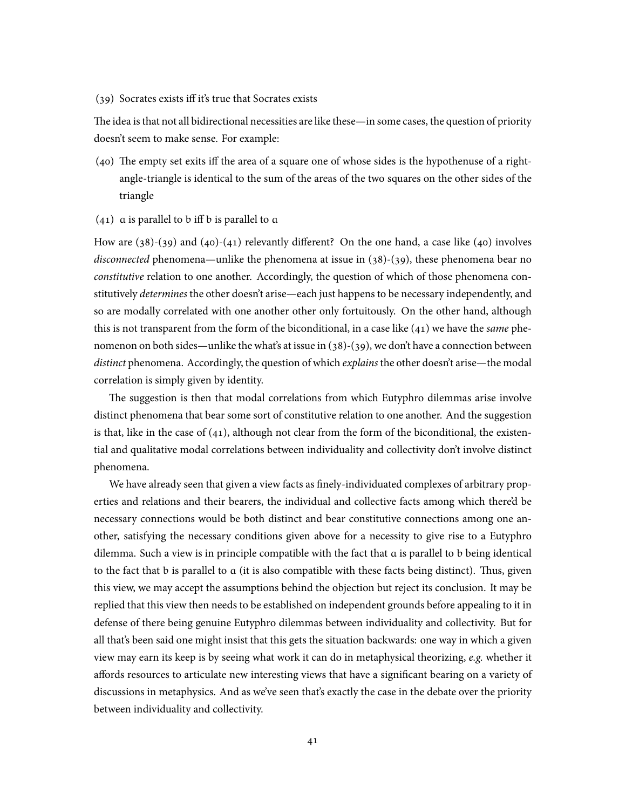(39) Socrates exists iff it's true that Socrates exists

The idea is that not all bidirectional necessities are like these—in some cases, the question of priority doesn't seem to make sense. For example:

- (40) The empty set exits iff the area of a square one of whose sides is the hypothenuse of a rightangle-triangle is identical to the sum of the areas of the two squares on the other sides of the triangle
- $(41)$  a is parallel to b iff b is parallel to a

How are  $(38)-(39)$  and  $(40)-(41)$  relevantly different? On the one hand, a case like  $(40)$  involves *disconnected* phenomena—unlike the phenomena at issue in (38)-(39), these phenomena bear no *constitutive* relation to one another. Accordingly, the question of which of those phenomena constitutively *determines* the other doesn't arise—each just happens to be necessary independently, and so are modally correlated with one another other only fortuitously. On the other hand, although this is not transparent from the form of the biconditional, in a case like (41) we have the *same* phenomenon on both sides—unlike the what's at issue in (38)-(39), we don't have a connection between *distinct* phenomena. Accordingly, the question of which *explains* the other doesn't arise—the modal correlation is simply given by identity.

The suggestion is then that modal correlations from which Eutyphro dilemmas arise involve distinct phenomena that bear some sort of constitutive relation to one another. And the suggestion is that, like in the case of  $(41)$ , although not clear from the form of the biconditional, the existential and qualitative modal correlations between individuality and collectivity don't involve distinct phenomena.

We have already seen that given a view facts as finely-individuated complexes of arbitrary properties and relations and their bearers, the individual and collective facts among which there'd be necessary connections would be both distinct and bear constitutive connections among one another, satisfying the necessary conditions given above for a necessity to give rise to a Eutyphro dilemma. Such a view is in principle compatible with the fact that a is parallel to b being identical to the fact that b is parallel to a (it is also compatible with these facts being distinct). Thus, given this view, we may accept the assumptions behind the objection but reject its conclusion. It may be replied that this view then needs to be established on independent grounds before appealing to it in defense of there being genuine Eutyphro dilemmas between individuality and collectivity. But for all that's been said one might insist that this gets the situation backwards: one way in which a given view may earn its keep is by seeing what work it can do in metaphysical theorizing, *e.g.* whether it affords resources to articulate new interesting views that have a significant bearing on a variety of discussions in metaphysics. And as we've seen that's exactly the case in the debate over the priority between individuality and collectivity.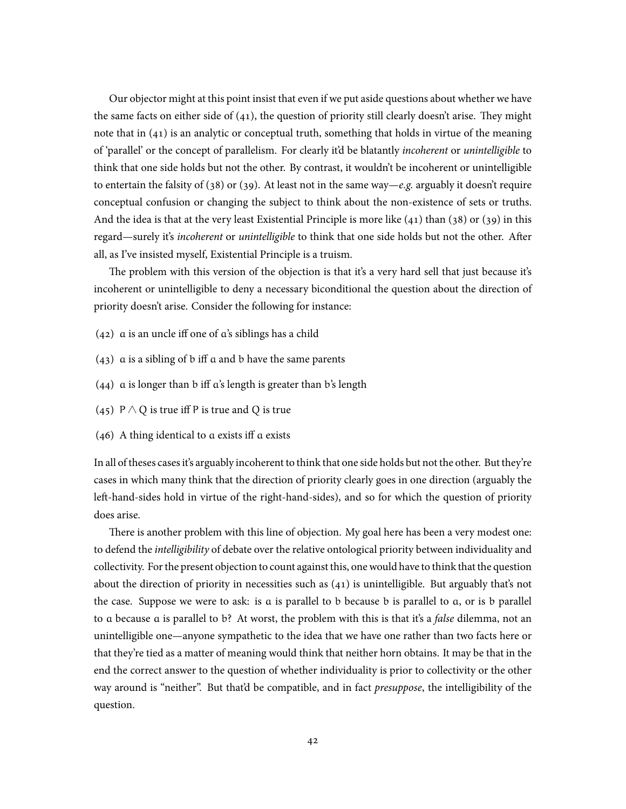Our objector might at this point insist that even if we put aside questions about whether we have the same facts on either side of  $(41)$ , the question of priority still clearly doesn't arise. They might note that in (41) is an analytic or conceptual truth, something that holds in virtue of the meaning of 'parallel' or the concept of parallelism. For clearly it'd be blatantly *incoherent* or *unintelligible* to think that one side holds but not the other. By contrast, it wouldn't be incoherent or unintelligible to entertain the falsity of (38) or (39). At least not in the same way—*e.g.* arguably it doesn't require conceptual confusion or changing the subject to think about the non-existence of sets or truths. And the idea is that at the very least Existential Principle is more like  $(41)$  than  $(38)$  or  $(39)$  in this regard—surely it's *incoherent* or *unintelligible* to think that one side holds but not the other. After all, as I've insisted myself, Existential Principle is a truism.

The problem with this version of the objection is that it's a very hard sell that just because it's incoherent or unintelligible to deny a necessary biconditional the question about the direction of priority doesn't arise. Consider the following for instance:

- (42) a is an uncle iff one of a's siblings has a child
- $(43)$  a is a sibling of b iff a and b have the same parents
- (44) a is longer than b iff a's length is greater than b's length
- (45) P  $\land$  Q is true iff P is true and Q is true
- (46) A thing identical to a exists iff a exists

In all of theses cases it's arguably incoherent to think that one side holds but not the other. But they're cases in which many think that the direction of priority clearly goes in one direction (arguably the left-hand-sides hold in virtue of the right-hand-sides), and so for which the question of priority does arise.

There is another problem with this line of objection. My goal here has been a very modest one: to defend the *intelligibility* of debate over the relative ontological priority between individuality and collectivity. For the present objection to count against this, one would have to think that the question about the direction of priority in necessities such as (41) is unintelligible. But arguably that's not the case. Suppose we were to ask: is a is parallel to b because b is parallel to a, or is b parallel to a because a is parallel to b? At worst, the problem with this is that it's a *false* dilemma, not an unintelligible one—anyone sympathetic to the idea that we have one rather than two facts here or that they're tied as a matter of meaning would think that neither horn obtains. It may be that in the end the correct answer to the question of whether individuality is prior to collectivity or the other way around is "neither". But that'd be compatible, and in fact *presuppose*, the intelligibility of the question.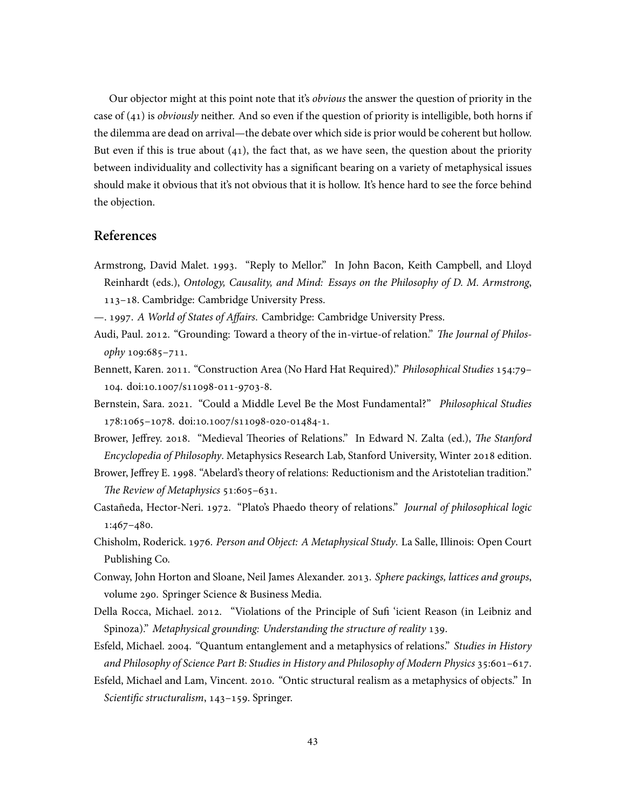Our objector might at this point note that it's *obvious* the answer the question of priority in the case of (41) is *obviously* neither. And so even if the question of priority is intelligible, both horns if the dilemma are dead on arrival—the debate over which side is prior would be coherent but hollow. But even if this is true about  $(41)$ , the fact that, as we have seen, the question about the priority between individuality and collectivity has a significant bearing on a variety of metaphysical issues should make it obvious that it's not obvious that it is hollow. It's hence hard to see the force behind the objection.

# **References**

- Armstrong, David Malet. 1993. "Reply to Mellor." In John Bacon, Keith Campbell, and Lloyd Reinhardt (eds.), *Ontology, Causality, and Mind: Essays on the Philosophy of D. M. Armstrong*, 113–18. Cambridge: Cambridge University Press.
- —. 1997. *A World of States of Affairs*. Cambridge: Cambridge University Press.
- Audi, Paul. 2012. "Grounding: Toward a theory of the in-virtue-of relation." *The Journal of Philosophy* 109:685–711.
- Bennett, Karen. 2011. "Construction Area (No Hard Hat Required)." *Philosophical Studies* 154:79– 104. doi:10.1007/s11098-011-9703-8.
- Bernstein, Sara. 2021. "Could a Middle Level Be the Most Fundamental?" *Philosophical Studies* 178:1065–1078. doi:10.1007/s11098-020-01484-1.
- Brower, Jeffrey. 2018. "Medieval Theories of Relations." In Edward N. Zalta (ed.), *The Stanford Encyclopedia of Philosophy*. Metaphysics Research Lab, Stanford University, Winter 2018 edition.
- Brower, Jeffrey E. 1998. "Abelard's theory of relations: Reductionism and the Aristotelian tradition." *The Review of Metaphysics* 51:605–631.
- Castañeda, Hector-Neri. 1972. "Plato's Phaedo theory of relations." *Journal of philosophical logic* 1:467–480.
- Chisholm, Roderick. 1976. *Person and Object: A Metaphysical Study*. La Salle, Illinois: Open Court Publishing Co.
- Conway, John Horton and Sloane, Neil James Alexander. 2013. *Sphere packings, lattices and groups*, volume 290. Springer Science & Business Media.
- Della Rocca, Michael. 2012. "Violations of the Principle of Sufi 'icient Reason (in Leibniz and Spinoza)." *Metaphysical grounding: Understanding the structure of reality* 139.
- Esfeld, Michael. 2004. "Quantum entanglement and a metaphysics of relations." *Studies in History and Philosophy of Science Part B: Studies in History and Philosophy of Modern Physics* 35:601–617.
- Esfeld, Michael and Lam, Vincent. 2010. "Ontic structural realism as a metaphysics of objects." In *Scientific structuralism*, 143–159. Springer.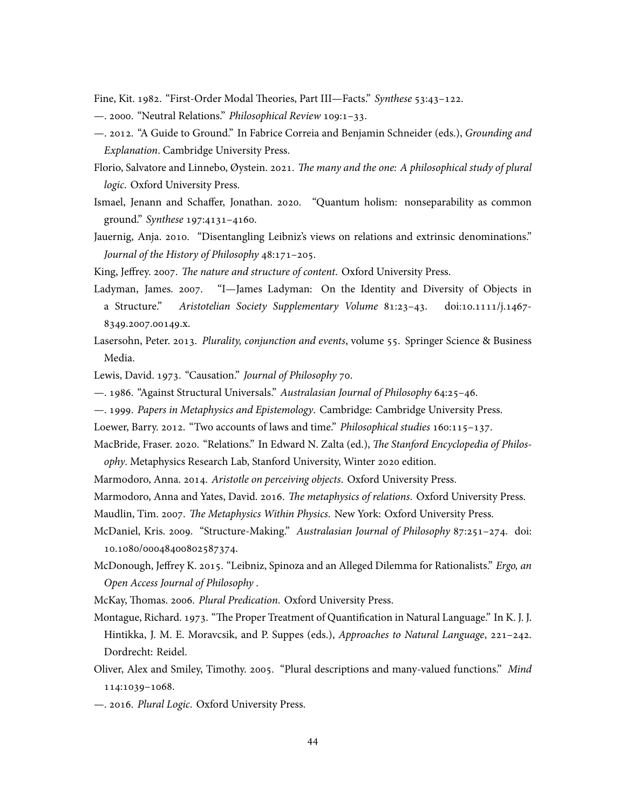Fine, Kit. 1982. "First-Order Modal Theories, Part III—Facts." *Synthese* 53:43–122.

- —. 2000. "Neutral Relations." *Philosophical Review* 109:1–33.
- —. 2012. "A Guide to Ground." In Fabrice Correia and Benjamin Schneider (eds.), *Grounding and Explanation*. Cambridge University Press.
- Florio, Salvatore and Linnebo, Øystein. 2021. *The many and the one: A philosophical study of plural logic*. Oxford University Press.
- Ismael, Jenann and Schaffer, Jonathan. 2020. "Quantum holism: nonseparability as common ground." *Synthese* 197:4131–4160.
- Jauernig, Anja. 2010. "Disentangling Leibniz's views on relations and extrinsic denominations." *Journal of the History of Philosophy* 48:171–205.
- King, Jeffrey. 2007. *The nature and structure of content*. Oxford University Press.
- Ladyman, James. 2007. "I—James Ladyman: On the Identity and Diversity of Objects in a Structure." *Aristotelian Society Supplementary Volume* 81:23–43. doi:10.1111/j.1467- 8349.2007.00149.x.
- Lasersohn, Peter. 2013. *Plurality, conjunction and events*, volume 55. Springer Science & Business Media.
- Lewis, David. 1973. "Causation." *Journal of Philosophy* 70.
- —. 1986. "Against Structural Universals." *Australasian Journal of Philosophy* 64:25–46.
- —. 1999. *Papers in Metaphysics and Epistemology*. Cambridge: Cambridge University Press.
- Loewer, Barry. 2012. "Two accounts of laws and time." *Philosophical studies* 160:115–137.
- MacBride, Fraser. 2020. "Relations." In Edward N. Zalta (ed.), *The Stanford Encyclopedia of Philosophy*. Metaphysics Research Lab, Stanford University, Winter 2020 edition.
- Marmodoro, Anna. 2014. *Aristotle on perceiving objects*. Oxford University Press.
- Marmodoro, Anna and Yates, David. 2016. *The metaphysics of relations*. Oxford University Press.
- Maudlin, Tim. 2007. *The Metaphysics Within Physics*. New York: Oxford University Press.
- McDaniel, Kris. 2009. "Structure-Making." *Australasian Journal of Philosophy* 87:251–274. doi: 10.1080/00048400802587374.
- McDonough, Jeffrey K. 2015. "Leibniz, Spinoza and an Alleged Dilemma for Rationalists." *Ergo, an Open Access Journal of Philosophy* .
- McKay, Thomas. 2006. *Plural Predication*. Oxford University Press.
- Montague, Richard. 1973. "The Proper Treatment of Quantification in Natural Language." In K. J. J. Hintikka, J. M. E. Moravcsik, and P. Suppes (eds.), *Approaches to Natural Language*, 221–242. Dordrecht: Reidel.
- Oliver, Alex and Smiley, Timothy. 2005. "Plural descriptions and many-valued functions." *Mind* 114:1039–1068.
- —. 2016. *Plural Logic*. Oxford University Press.